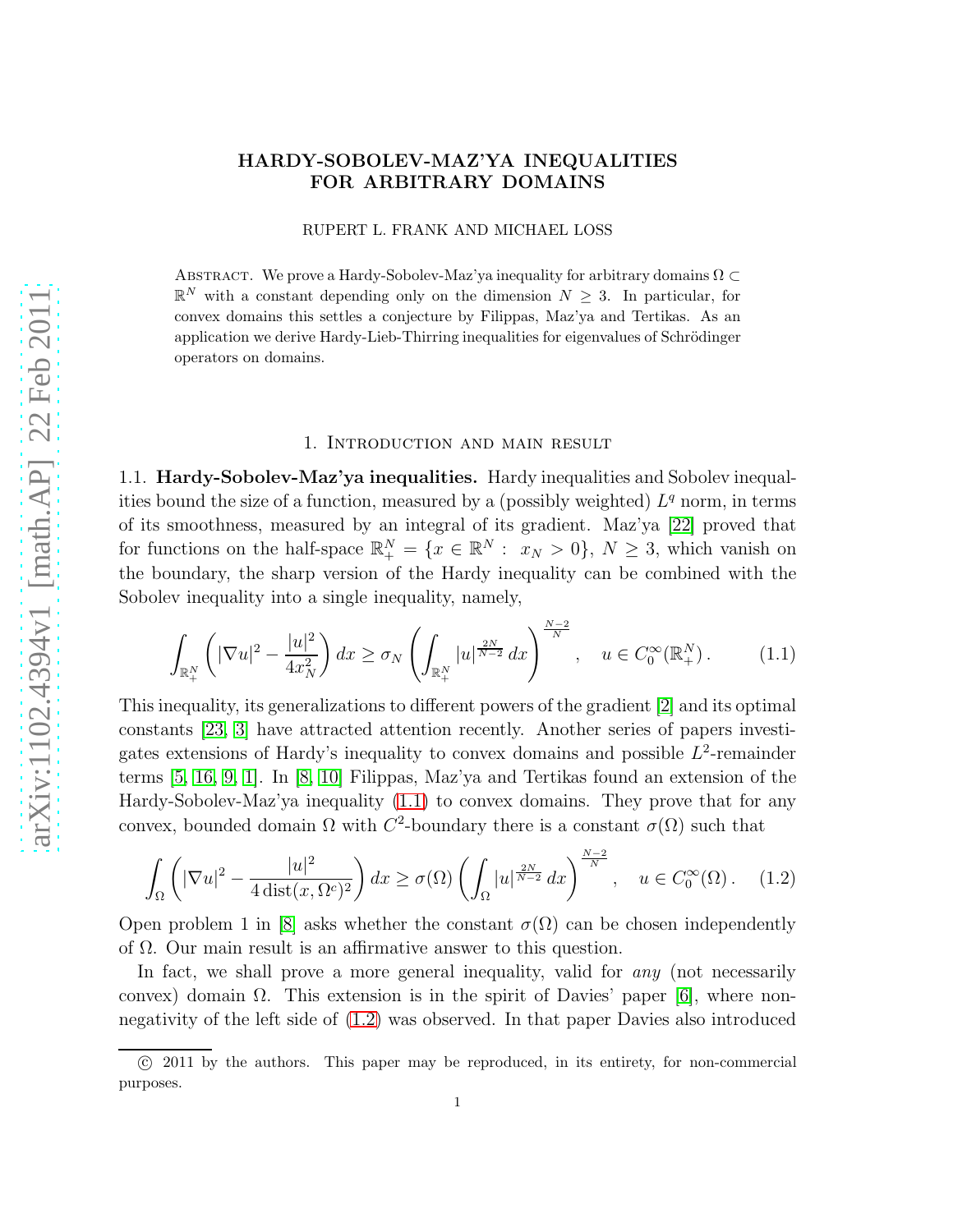# HARDY-SOBOLEV-MAZ'YA INEQUALITIES FOR ARBITRARY DOMAINS

RUPERT L. FRANK AND MICHAEL LOSS

ABSTRACT. We prove a Hardy-Sobolev-Maz'ya inequality for arbitrary domains  $\Omega \subset$  $\mathbb{R}^N$  with a constant depending only on the dimension  $N \geq 3$ . In particular, for convex domains this settles a conjecture by Filippas, Maz'ya and Tertikas. As an application we derive Hardy-Lieb-Thirring inequalities for eigenvalues of Schrödinger operators on domains.

### 1. Introduction and main result

1.1. Hardy-Sobolev-Maz'ya inequalities. Hardy inequalities and Sobolev inequalities bound the size of a function, measured by a (possibly weighted)  $L<sup>q</sup>$  norm, in terms of its smoothness, measured by an integral of its gradient. Maz'ya [\[22\]](#page-17-0) proved that for functions on the half-space  $\mathbb{R}^N_+ = \{x \in \mathbb{R}^N : x_N > 0\}, N \geq 3$ , which vanish on the boundary, the sharp version of the Hardy inequality can be combined with the Sobolev inequality into a single inequality, namely,

<span id="page-0-0"></span>
$$
\int_{\mathbb{R}_+^N} \left( |\nabla u|^2 - \frac{|u|^2}{4x_N^2} \right) dx \ge \sigma_N \left( \int_{\mathbb{R}_+^N} |u|^{\frac{2N}{N-2}} dx \right)^{\frac{N-2}{N}}, \quad u \in C_0^\infty(\mathbb{R}_+^N). \tag{1.1}
$$

This inequality, its generalizations to different powers of the gradient [\[2\]](#page-17-1) and its optimal constants [\[23,](#page-18-0) [3\]](#page-17-2) have attracted attention recently. Another series of papers investigates extensions of Hardy's inequality to convex domains and possible  $L^2$ -remainder terms [\[5,](#page-17-3) [16,](#page-17-4) [9,](#page-17-5) [1\]](#page-17-6). In [\[8,](#page-17-7) [10\]](#page-17-8) Filippas, Maz'ya and Tertikas found an extension of the Hardy-Sobolev-Maz'ya inequality [\(1.1\)](#page-0-0) to convex domains. They prove that for any convex, bounded domain  $\Omega$  with  $C^2$ -boundary there is a constant  $\sigma(\Omega)$  such that

<span id="page-0-1"></span>
$$
\int_{\Omega} \left( |\nabla u|^2 - \frac{|u|^2}{4 \operatorname{dist}(x, \Omega^c)^2} \right) dx \ge \sigma(\Omega) \left( \int_{\Omega} |u|^{\frac{2N}{N-2}} dx \right)^{\frac{N-2}{N}}, \quad u \in C_0^{\infty}(\Omega). \tag{1.2}
$$

Open problem 1 in [\[8\]](#page-17-7) asks whether the constant  $\sigma(\Omega)$  can be chosen independently of  $\Omega$ . Our main result is an affirmative answer to this question.

In fact, we shall prove a more general inequality, valid for any (not necessarily convex) domain  $\Omega$ . This extension is in the spirit of Davies' paper [\[6\]](#page-17-9), where nonnegativity of the left side of [\(1.2\)](#page-0-1) was observed. In that paper Davies also introduced

c 2011 by the authors. This paper may be reproduced, in its entirety, for non-commercial purposes.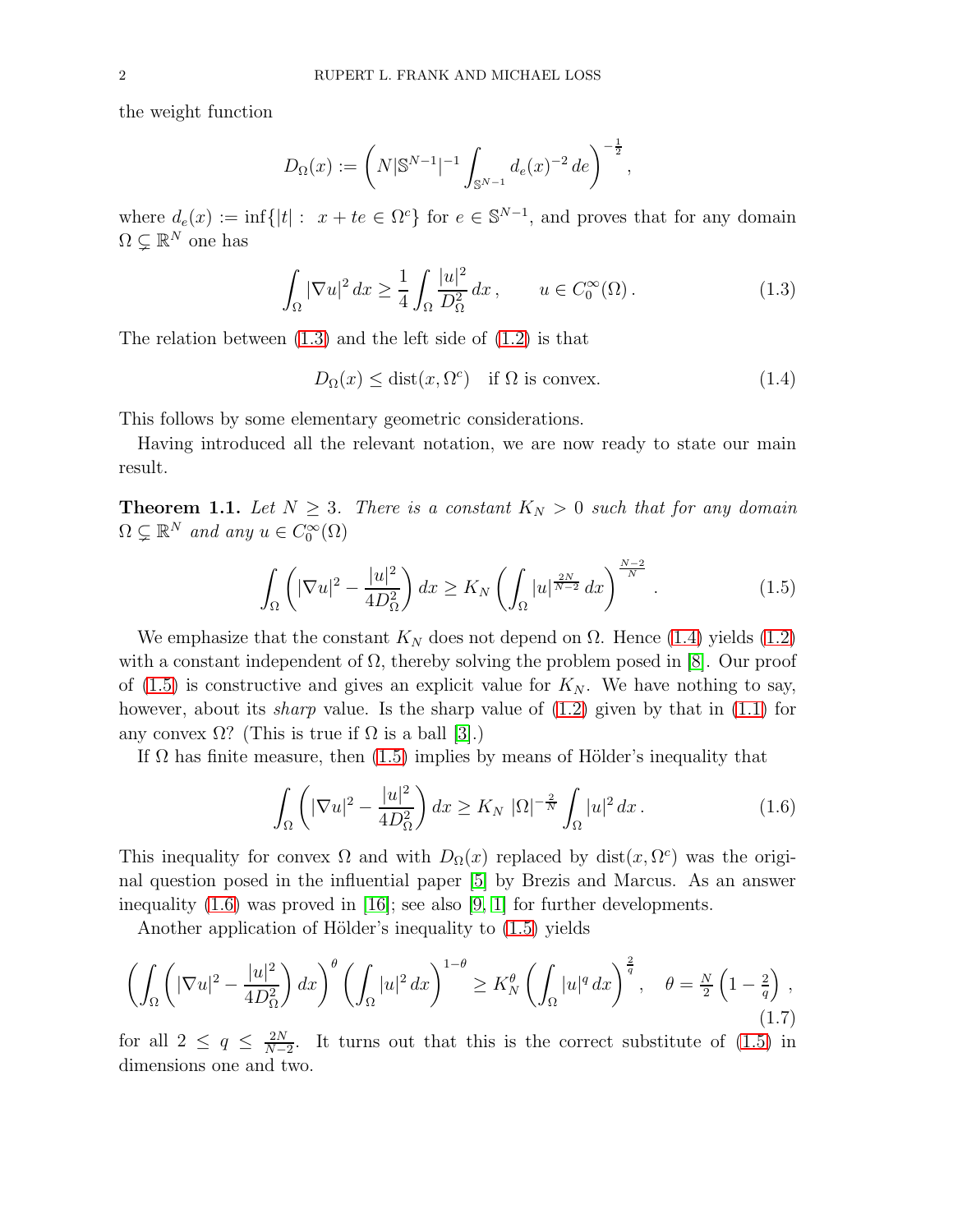the weight function

$$
D_{\Omega}(x) := \left(N|\mathbb{S}^{N-1}|^{-1} \int_{\mathbb{S}^{N-1}} d_e(x)^{-2} de\right)^{-\frac{1}{2}},
$$

where  $d_e(x) := \inf\{|t| : x + te \in \Omega^c\}$  for  $e \in \mathbb{S}^{N-1}$ , and proves that for any domain  $\Omega \subsetneq \mathbb{R}^N$  one has

<span id="page-1-0"></span>
$$
\int_{\Omega} |\nabla u|^2 dx \ge \frac{1}{4} \int_{\Omega} \frac{|u|^2}{D_{\Omega}^2} dx, \qquad u \in C_0^{\infty}(\Omega). \tag{1.3}
$$

The relation between [\(1.3\)](#page-1-0) and the left side of [\(1.2\)](#page-0-1) is that

<span id="page-1-1"></span>
$$
D_{\Omega}(x) \le \text{dist}(x, \Omega^c) \quad \text{if } \Omega \text{ is convex.} \tag{1.4}
$$

This follows by some elementary geometric considerations.

Having introduced all the relevant notation, we are now ready to state our main result.

<span id="page-1-4"></span>**Theorem 1.1.** Let  $N \geq 3$ . There is a constant  $K_N > 0$  such that for any domain  $\Omega \subsetneq \mathbb{R}^N$  and any  $u \in C_0^{\infty}(\Omega)$ 

<span id="page-1-2"></span>
$$
\int_{\Omega} \left( |\nabla u|^2 - \frac{|u|^2}{4D_{\Omega}^2} \right) dx \ge K_N \left( \int_{\Omega} |u|^{\frac{2N}{N-2}} dx \right)^{\frac{N-2}{N}}.
$$
\n(1.5)

We emphasize that the constant  $K_N$  does not depend on  $\Omega$ . Hence [\(1.4\)](#page-1-1) yields [\(1.2\)](#page-0-1) with a constant independent of  $\Omega$ , thereby solving the problem posed in [\[8\]](#page-17-7). Our proof of  $(1.5)$  is constructive and gives an explicit value for  $K_N$ . We have nothing to say, however, about its *sharp* value. Is the sharp value of  $(1.2)$  given by that in  $(1.1)$  for any convex  $\Omega$ ? (This is true if  $\Omega$  is a ball [\[3\]](#page-17-2).)

If  $\Omega$  has finite measure, then [\(1.5\)](#page-1-2) implies by means of Hölder's inequality that

<span id="page-1-3"></span>
$$
\int_{\Omega} \left( |\nabla u|^2 - \frac{|u|^2}{4D_{\Omega}^2} \right) dx \ge K_N \left| \Omega \right|^{-\frac{2}{N}} \int_{\Omega} |u|^2 dx. \tag{1.6}
$$

This inequality for convex  $\Omega$  and with  $D_{\Omega}(x)$  replaced by dist $(x, \Omega^c)$  was the original question posed in the influential paper [\[5\]](#page-17-3) by Brezis and Marcus. As an answer inequality  $(1.6)$  was proved in [\[16\]](#page-17-4); see also [\[9,](#page-17-5) [1\]](#page-17-6) for further developments.

Another application of Hölder's inequality to  $(1.5)$  yields

<span id="page-1-5"></span>
$$
\left(\int_{\Omega} \left( |\nabla u|^2 - \frac{|u|^2}{4D_{\Omega}^2} \right) dx\right)^{\theta} \left(\int_{\Omega} |u|^2 dx\right)^{1-\theta} \ge K_N^{\theta} \left(\int_{\Omega} |u|^q dx\right)^{\frac{2}{q}}, \quad \theta = \frac{N}{2} \left(1 - \frac{2}{q}\right),\tag{1.7}
$$

for all  $2 \le q \le \frac{2N}{N-1}$  $\frac{2N}{N-2}$ . It turns out that this is the correct substitute of [\(1.5\)](#page-1-2) in dimensions one and two.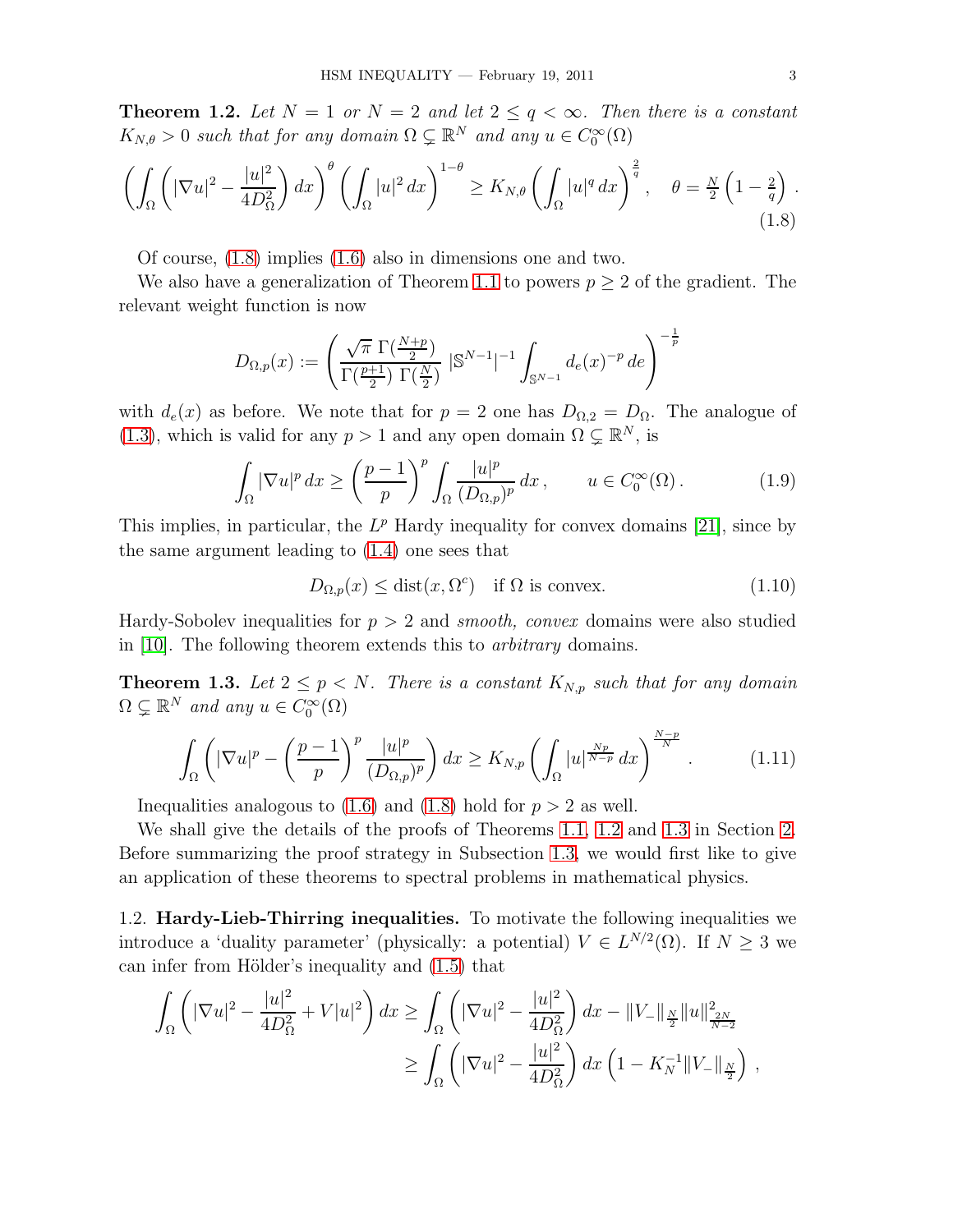<span id="page-2-1"></span>**Theorem 1.2.** Let  $N = 1$  or  $N = 2$  and let  $2 \le q < \infty$ . Then there is a constant  $K_{N,\theta} > 0$  such that for any domain  $\Omega \subsetneq \mathbb{R}^N$  and any  $u \in C_0^{\infty}(\Omega)$ 

<span id="page-2-0"></span>
$$
\left(\int_{\Omega} \left( |\nabla u|^2 - \frac{|u|^2}{4D_{\Omega}^2} \right) dx\right)^{\theta} \left(\int_{\Omega} |u|^2 dx\right)^{1-\theta} \ge K_{N,\theta} \left(\int_{\Omega} |u|^q dx\right)^{\frac{2}{q}}, \quad \theta = \frac{N}{2} \left(1 - \frac{2}{q}\right). \tag{1.8}
$$

Of course, [\(1.8\)](#page-2-0) implies [\(1.6\)](#page-1-3) also in dimensions one and two.

We also have a generalization of Theorem [1.1](#page-1-4) to powers  $p \geq 2$  of the gradient. The relevant weight function is now

$$
D_{\Omega,p}(x) := \left(\frac{\sqrt{\pi} \, \Gamma(\frac{N+p}{2})}{\Gamma(\frac{p+1}{2}) \, \Gamma(\frac{N}{2})} \, |{\mathbb S}^{N-1}|^{-1} \int_{{\mathbb S}^{N-1}} d_e(x)^{-p} \, d e\right)^{-\frac{1}{p}}
$$

with  $d_e(x)$  as before. We note that for  $p = 2$  one has  $D_{\Omega,2} = D_{\Omega}$ . The analogue of [\(1.3\)](#page-1-0), which is valid for any  $p > 1$  and any open domain  $\Omega \subsetneq \mathbb{R}^N$ , is

$$
\int_{\Omega} |\nabla u|^p dx \ge \left(\frac{p-1}{p}\right)^p \int_{\Omega} \frac{|u|^p}{(D_{\Omega,p})^p} dx, \qquad u \in C_0^{\infty}(\Omega). \tag{1.9}
$$

This implies, in particular, the  $L^p$  Hardy inequality for convex domains [\[21\]](#page-17-10), since by the same argument leading to [\(1.4\)](#page-1-1) one sees that

$$
D_{\Omega,p}(x) \le \text{dist}(x, \Omega^c) \quad \text{if } \Omega \text{ is convex.} \tag{1.10}
$$

Hardy-Sobolev inequalities for  $p > 2$  and *smooth, convex* domains were also studied in [\[10\]](#page-17-8). The following theorem extends this to arbitrary domains.

<span id="page-2-2"></span>**Theorem 1.3.** Let  $2 \leq p \leq N$ . There is a constant  $K_{N,p}$  such that for any domain  $\Omega \subsetneq \mathbb{R}^N$  and any  $u \in C_0^{\infty}(\Omega)$ 

$$
\int_{\Omega} \left( |\nabla u|^p - \left(\frac{p-1}{p}\right)^p \frac{|u|^p}{(D_{\Omega,p})^p} \right) dx \ge K_{N,p} \left( \int_{\Omega} |u|^{\frac{Np}{N-p}} dx \right)^{\frac{N-p}{N}}.
$$
\n(1.11)

Inequalities analogous to  $(1.6)$  and  $(1.8)$  hold for  $p > 2$  as well.

We shall give the details of the proofs of Theorems [1.1,](#page-1-4) [1.2](#page-2-1) and [1.3](#page-2-2) in Section [2.](#page-6-0) Before summarizing the proof strategy in Subsection [1.3,](#page-4-0) we would first like to give an application of these theorems to spectral problems in mathematical physics.

1.2. Hardy-Lieb-Thirring inequalities. To motivate the following inequalities we introduce a 'duality parameter' (physically: a potential)  $V \in L^{N/2}(\Omega)$ . If  $N \geq 3$  we can infer from Hölder's inequality and  $(1.5)$  that

$$
\int_{\Omega} \left( |\nabla u|^2 - \frac{|u|^2}{4D_{\Omega}^2} + V|u|^2 \right) dx \ge \int_{\Omega} \left( |\nabla u|^2 - \frac{|u|^2}{4D_{\Omega}^2} \right) dx - ||V_{-}||_{\frac{N}{2}} ||u||_{\frac{2N}{N-2}}^2
$$
  

$$
\ge \int_{\Omega} \left( |\nabla u|^2 - \frac{|u|^2}{4D_{\Omega}^2} \right) dx \left( 1 - K_N^{-1} ||V_{-}||_{\frac{N}{2}} \right) ,
$$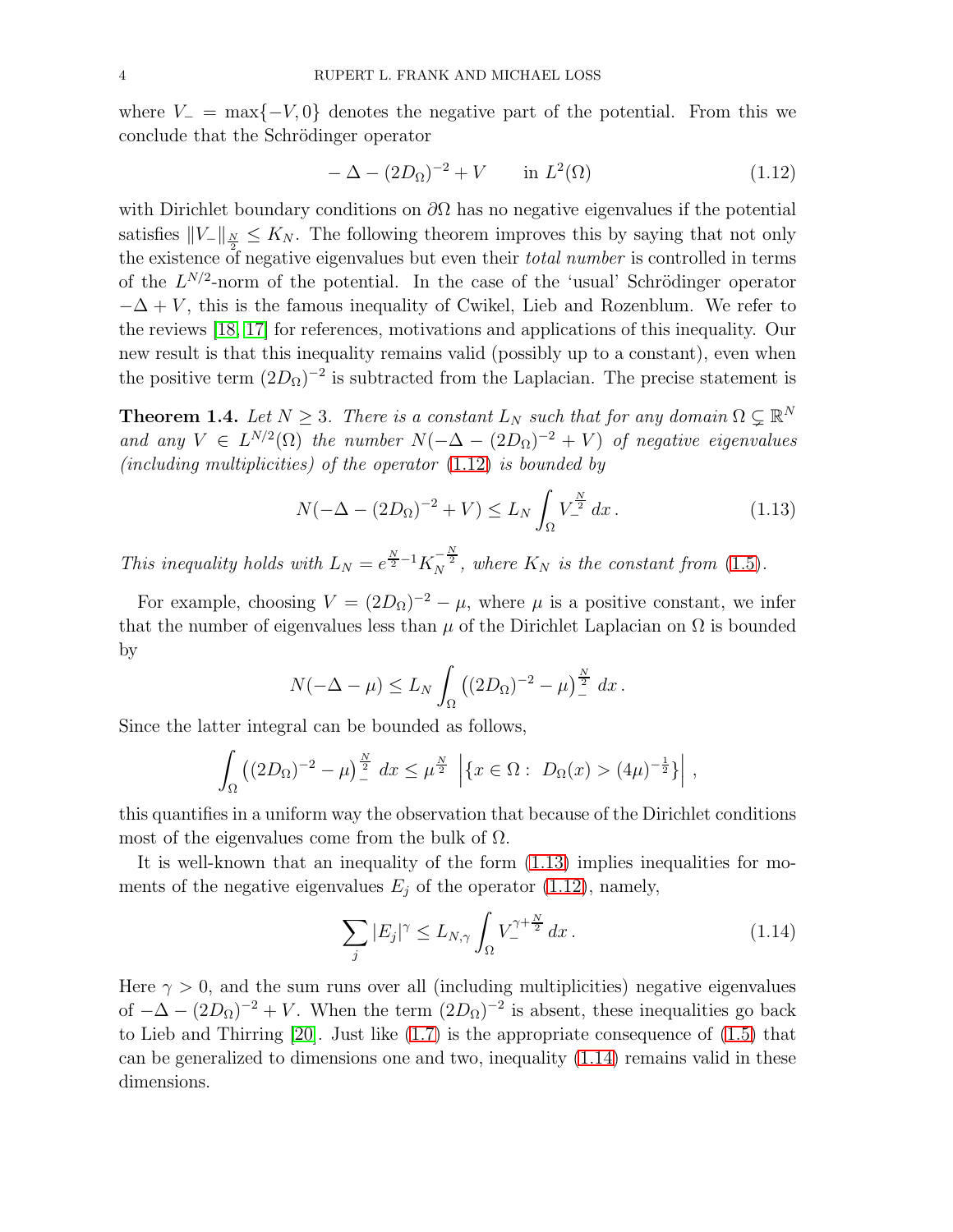where  $V = \max\{-V, 0\}$  denotes the negative part of the potential. From this we conclude that the Schrödinger operator

<span id="page-3-0"></span>
$$
-\Delta - (2D_{\Omega})^{-2} + V \qquad \text{in } L^{2}(\Omega) \tag{1.12}
$$

with Dirichlet boundary conditions on  $\partial\Omega$  has no negative eigenvalues if the potential satisfies  $||V_-\||_{\frac{N}{2}} \leq K_N$ . The following theorem improves this by saying that not only the existence of negative eigenvalues but even their *total number* is controlled in terms of the  $L^{N/2}$ -norm of the potential. In the case of the 'usual' Schrödinger operator  $-\Delta + V$ , this is the famous inequality of Cwikel, Lieb and Rozenblum. We refer to the reviews [\[18,](#page-17-11) [17\]](#page-17-12) for references, motivations and applications of this inequality. Our new result is that this inequality remains valid (possibly up to a constant), even when the positive term  $(2D_{\Omega})^{-2}$  is subtracted from the Laplacian. The precise statement is

<span id="page-3-3"></span>**Theorem 1.4.** Let  $N \geq 3$ . There is a constant  $L_N$  such that for any domain  $\Omega \subseteq \mathbb{R}^N$ and any  $V \in L^{N/2}(\Omega)$  the number  $N(-\Delta - (2D_{\Omega})^{-2} + V)$  of negative eigenvalues (including multiplicities) of the operator [\(1.12\)](#page-3-0) is bounded by

<span id="page-3-1"></span>
$$
N(-\Delta - (2D_{\Omega})^{-2} + V) \le L_N \int_{\Omega} V^{\frac{N}{2}}_{-} dx.
$$
 (1.13)

This inequality holds with  $L_N = e^{\frac{N}{2}-1} K_N^{-\frac{N}{2}}$ , where  $K_N$  is the constant from [\(1.5\)](#page-1-2).

For example, choosing  $V = (2D_{\Omega})^{-2} - \mu$ , where  $\mu$  is a positive constant, we infer that the number of eigenvalues less than  $\mu$  of the Dirichlet Laplacian on  $\Omega$  is bounded by

$$
N(-\Delta - \mu) \le L_N \int_{\Omega} \left( (2D_{\Omega})^{-2} - \mu \right)^{\frac{N}{2}} dx.
$$

Since the latter integral can be bounded as follows,

$$
\int_{\Omega} \left( (2D_{\Omega})^{-2} - \mu \right)^{\frac{N}{2}} dx \le \mu^{\frac{N}{2}} \left| \{ x \in \Omega : D_{\Omega}(x) > (4\mu)^{-\frac{1}{2}} \} \right|,
$$

this quantifies in a uniform way the observation that because of the Dirichlet conditions most of the eigenvalues come from the bulk of  $\Omega$ .

It is well-known that an inequality of the form [\(1.13\)](#page-3-1) implies inequalities for moments of the negative eigenvalues  $E_j$  of the operator [\(1.12\)](#page-3-0), namely,

<span id="page-3-2"></span>
$$
\sum_{j} |E_j|^\gamma \le L_{N,\gamma} \int_{\Omega} V_{-}^{\gamma + \frac{N}{2}} dx.
$$
\n(1.14)

Here  $\gamma > 0$ , and the sum runs over all (including multiplicities) negative eigenvalues of  $-\Delta - (2D_{\Omega})^{-2} + V$ . When the term  $(2D_{\Omega})^{-2}$  is absent, these inequalities go back to Lieb and Thirring [\[20\]](#page-17-13). Just like [\(1.7\)](#page-1-5) is the appropriate consequence of [\(1.5\)](#page-1-2) that can be generalized to dimensions one and two, inequality [\(1.14\)](#page-3-2) remains valid in these dimensions.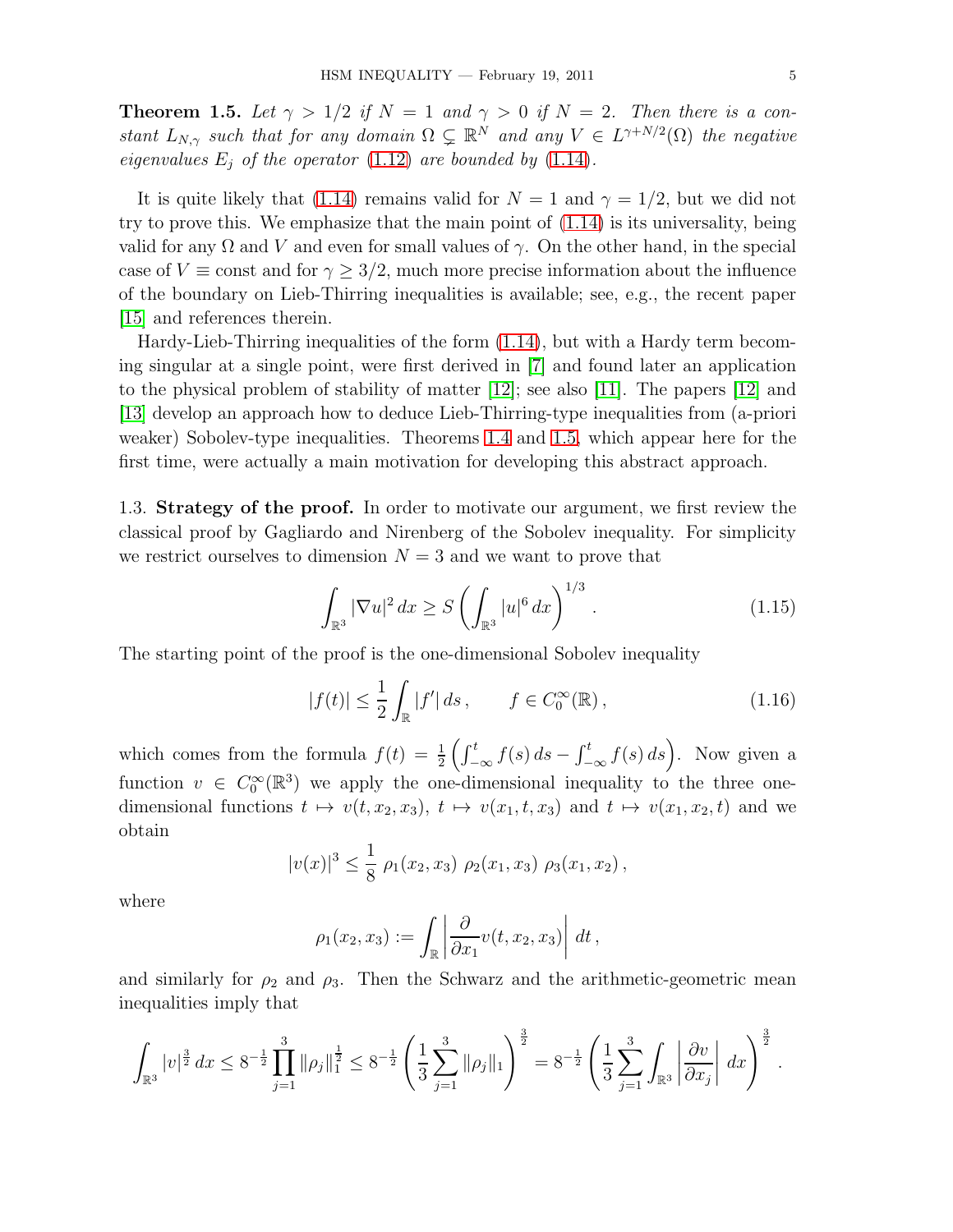<span id="page-4-1"></span>**Theorem 1.5.** Let  $\gamma > 1/2$  if  $N = 1$  and  $\gamma > 0$  if  $N = 2$ . Then there is a constant  $L_{N,\gamma}$  such that for any domain  $\Omega \subsetneq \mathbb{R}^N$  and any  $V \in L^{\gamma+N/2}(\Omega)$  the negative eigenvalues  $E_j$  of the operator [\(1.12\)](#page-3-0) are bounded by [\(1.14\)](#page-3-2).

It is quite likely that [\(1.14\)](#page-3-2) remains valid for  $N = 1$  and  $\gamma = 1/2$ , but we did not try to prove this. We emphasize that the main point of [\(1.14\)](#page-3-2) is its universality, being valid for any  $\Omega$  and V and even for small values of  $\gamma$ . On the other hand, in the special case of  $V \equiv \text{const}$  and for  $\gamma \geq 3/2$ , much more precise information about the influence of the boundary on Lieb-Thirring inequalities is available; see, e.g., the recent paper [\[15\]](#page-17-14) and references therein.

Hardy-Lieb-Thirring inequalities of the form [\(1.14\)](#page-3-2), but with a Hardy term becoming singular at a single point, were first derived in [\[7\]](#page-17-15) and found later an application to the physical problem of stability of matter  $|12|$ ; see also  $|11|$ . The papers  $|12|$  and [\[13\]](#page-17-18) develop an approach how to deduce Lieb-Thirring-type inequalities from (a-priori weaker) Sobolev-type inequalities. Theorems [1.4](#page-3-3) and [1.5,](#page-4-1) which appear here for the first time, were actually a main motivation for developing this abstract approach.

<span id="page-4-0"></span>1.3. Strategy of the proof. In order to motivate our argument, we first review the classical proof by Gagliardo and Nirenberg of the Sobolev inequality. For simplicity we restrict ourselves to dimension  $N = 3$  and we want to prove that

<span id="page-4-2"></span>
$$
\int_{\mathbb{R}^3} |\nabla u|^2 \, dx \ge S \left( \int_{\mathbb{R}^3} |u|^6 \, dx \right)^{1/3} . \tag{1.15}
$$

The starting point of the proof is the one-dimensional Sobolev inequality

<span id="page-4-3"></span>
$$
|f(t)| \le \frac{1}{2} \int_{\mathbb{R}} |f'| ds, \qquad f \in C_0^{\infty}(\mathbb{R}), \tag{1.16}
$$

which comes from the formula  $f(t) = \frac{1}{2} \left( \int_{-\infty}^{t} f(s) ds - \int_{-\infty}^{t} f(s) ds \right)$ . Now given a function  $v \in C_0^{\infty}(\mathbb{R}^3)$  we apply the one-dimensional inequality to the three onedimensional functions  $t \mapsto v(t, x_2, x_3), t \mapsto v(x_1, t, x_3)$  and  $t \mapsto v(x_1, x_2, t)$  and we obtain

$$
|v(x)|^3 \leq \frac{1}{8} \rho_1(x_2, x_3) \rho_2(x_1, x_3) \rho_3(x_1, x_2),
$$

where

$$
\rho_1(x_2, x_3) := \int_{\mathbb{R}} \left| \frac{\partial}{\partial x_1} v(t, x_2, x_3) \right| dt,
$$

and similarly for  $\rho_2$  and  $\rho_3$ . Then the Schwarz and the arithmetic-geometric mean inequalities imply that

$$
\int_{\mathbb{R}^3} |v|^{\frac{3}{2}} \, dx \le 8^{-\frac{1}{2}} \prod_{j=1}^3 \|\rho_j\|_1^{\frac{1}{2}} \le 8^{-\frac{1}{2}} \left( \frac{1}{3} \sum_{j=1}^3 \|\rho_j\|_1 \right)^{\frac{3}{2}} = 8^{-\frac{1}{2}} \left( \frac{1}{3} \sum_{j=1}^3 \int_{\mathbb{R}^3} \left| \frac{\partial v}{\partial x_j} \right| \, dx \right)^{\frac{3}{2}}.
$$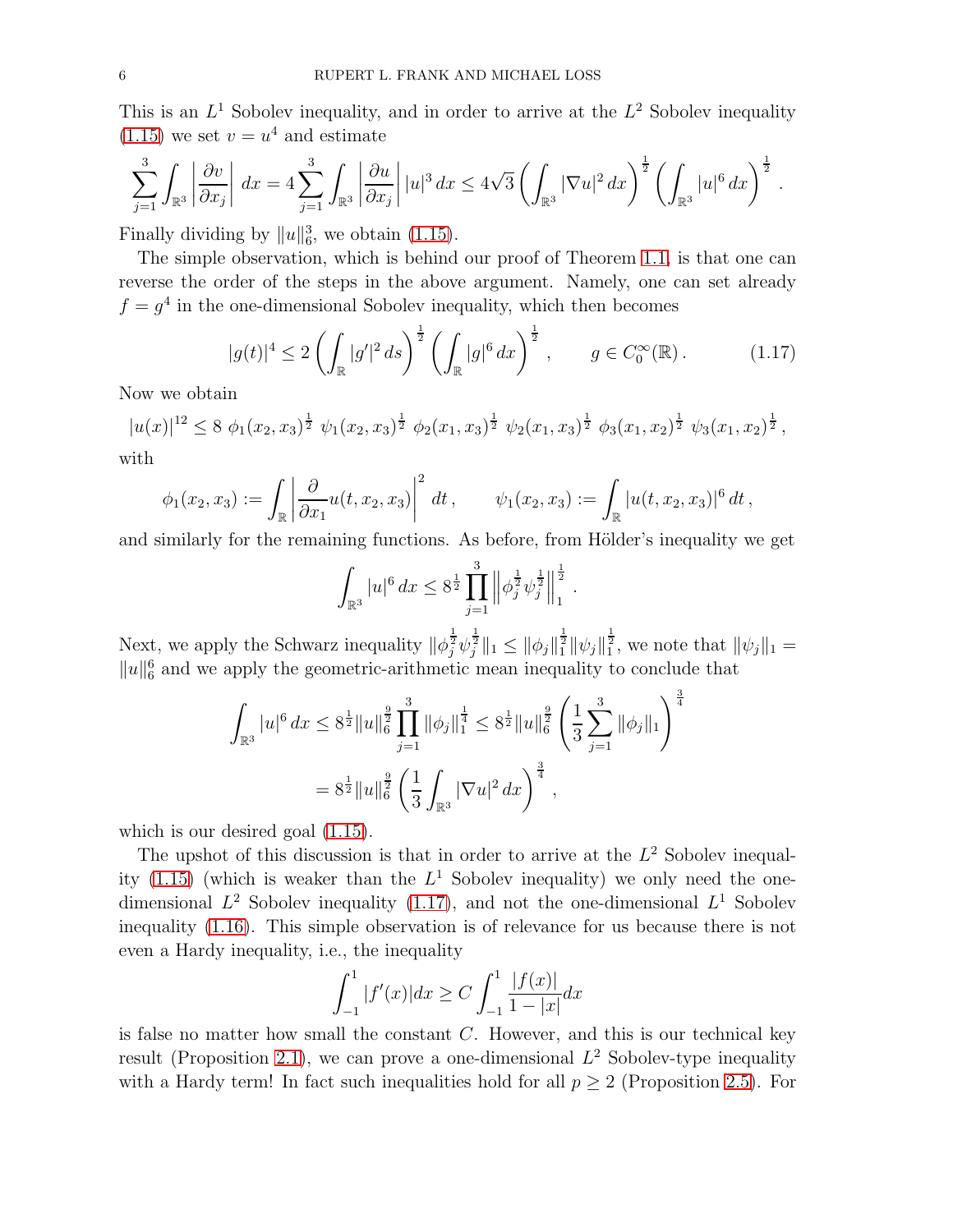This is an  $L^1$  Sobolev inequality, and in order to arrive at the  $L^2$  Sobolev inequality  $(1.15)$  we set  $v = u<sup>4</sup>$  and estimate

$$
\sum_{j=1}^3 \int_{\mathbb{R}^3} \left| \frac{\partial v}{\partial x_j} \right| dx = 4 \sum_{j=1}^3 \int_{\mathbb{R}^3} \left| \frac{\partial u}{\partial x_j} \right| |u|^3 dx \le 4\sqrt{3} \left( \int_{\mathbb{R}^3} |\nabla u|^2 dx \right)^{\frac{1}{2}} \left( \int_{\mathbb{R}^3} |u|^6 dx \right)^{\frac{1}{2}}.
$$

Finally dividing by  $||u||_6^3$ , we obtain [\(1.15\)](#page-4-2).

The simple observation, which is behind our proof of Theorem [1.1,](#page-1-4) is that one can reverse the order of the steps in the above argument. Namely, one can set already  $f = g<sup>4</sup>$  in the one-dimensional Sobolev inequality, which then becomes

<span id="page-5-0"></span>
$$
|g(t)|^4 \le 2\left(\int_{\mathbb{R}} |g'|^2 ds\right)^{\frac{1}{2}} \left(\int_{\mathbb{R}} |g|^6 dx\right)^{\frac{1}{2}}, \qquad g \in C_0^{\infty}(\mathbb{R}).\tag{1.17}
$$

Now we obtain

$$
|u(x)|^{12} \le 8 \phi_1(x_2, x_3)^{\frac{1}{2}} \psi_1(x_2, x_3)^{\frac{1}{2}} \phi_2(x_1, x_3)^{\frac{1}{2}} \psi_2(x_1, x_3)^{\frac{1}{2}} \phi_3(x_1, x_2)^{\frac{1}{2}} \psi_3(x_1, x_2)^{\frac{1}{2}},
$$

with

$$
\phi_1(x_2, x_3) := \int_{\mathbb{R}} \left| \frac{\partial}{\partial x_1} u(t, x_2, x_3) \right|^2 dt, \qquad \psi_1(x_2, x_3) := \int_{\mathbb{R}} |u(t, x_2, x_3)|^6 dt,
$$

and similarly for the remaining functions. As before, from Hölder's inequality we get

$$
\int_{\mathbb{R}^3} |u|^6 \, dx \leq 8^{\frac{1}{2}} \prod_{j=1}^3 \left\| \phi_j^{\frac{1}{2}} \psi_j^{\frac{1}{2}} \right\|_1^{\frac{1}{2}}.
$$

Next, we apply the Schwarz inequality  $\|\phi_j^{\frac{1}{2}}\psi_j^{\frac{1}{2}}\|_1 \le \|\phi_j\|_1^{\frac{1}{2}} \|\psi_j\|_1^{\frac{1}{2}}$ , we note that  $\|\psi_j\|_1 =$  $||u||_6^6$  and we apply the geometric-arithmetic mean inequality to conclude that

$$
\int_{\mathbb{R}^3} |u|^6 dx \leq 8^{\frac{1}{2}} \|u\|_6^{\frac{9}{2}} \prod_{j=1}^3 \|\phi_j\|_1^{\frac{1}{4}} \leq 8^{\frac{1}{2}} \|u\|_6^{\frac{9}{2}} \left(\frac{1}{3} \sum_{j=1}^3 \|\phi_j\|_1\right)^{\frac{3}{4}}
$$

$$
= 8^{\frac{1}{2}} \|u\|_6^{\frac{9}{2}} \left(\frac{1}{3} \int_{\mathbb{R}^3} |\nabla u|^2 dx\right)^{\frac{3}{4}},
$$

which is our desired goal  $(1.15)$ .

The upshot of this discussion is that in order to arrive at the  $L<sup>2</sup>$  Sobolev inequality  $(1.15)$  (which is weaker than the  $L^1$  Sobolev inequality) we only need the onedimensional  $L^2$  Sobolev inequality [\(1.17\)](#page-5-0), and not the one-dimensional  $L^1$  Sobolev inequality [\(1.16\)](#page-4-3). This simple observation is of relevance for us because there is not even a Hardy inequality, i.e., the inequality

$$
\int_{-1}^{1} |f'(x)| dx \ge C \int_{-1}^{1} \frac{|f(x)|}{1 - |x|} dx
$$

is false no matter how small the constant  $C$ . However, and this is our technical key result (Proposition [2.1\)](#page-6-1), we can prove a one-dimensional  $L^2$  Sobolev-type inequality with a Hardy term! In fact such inequalities hold for all  $p \geq 2$  (Proposition [2.5\)](#page-10-0). For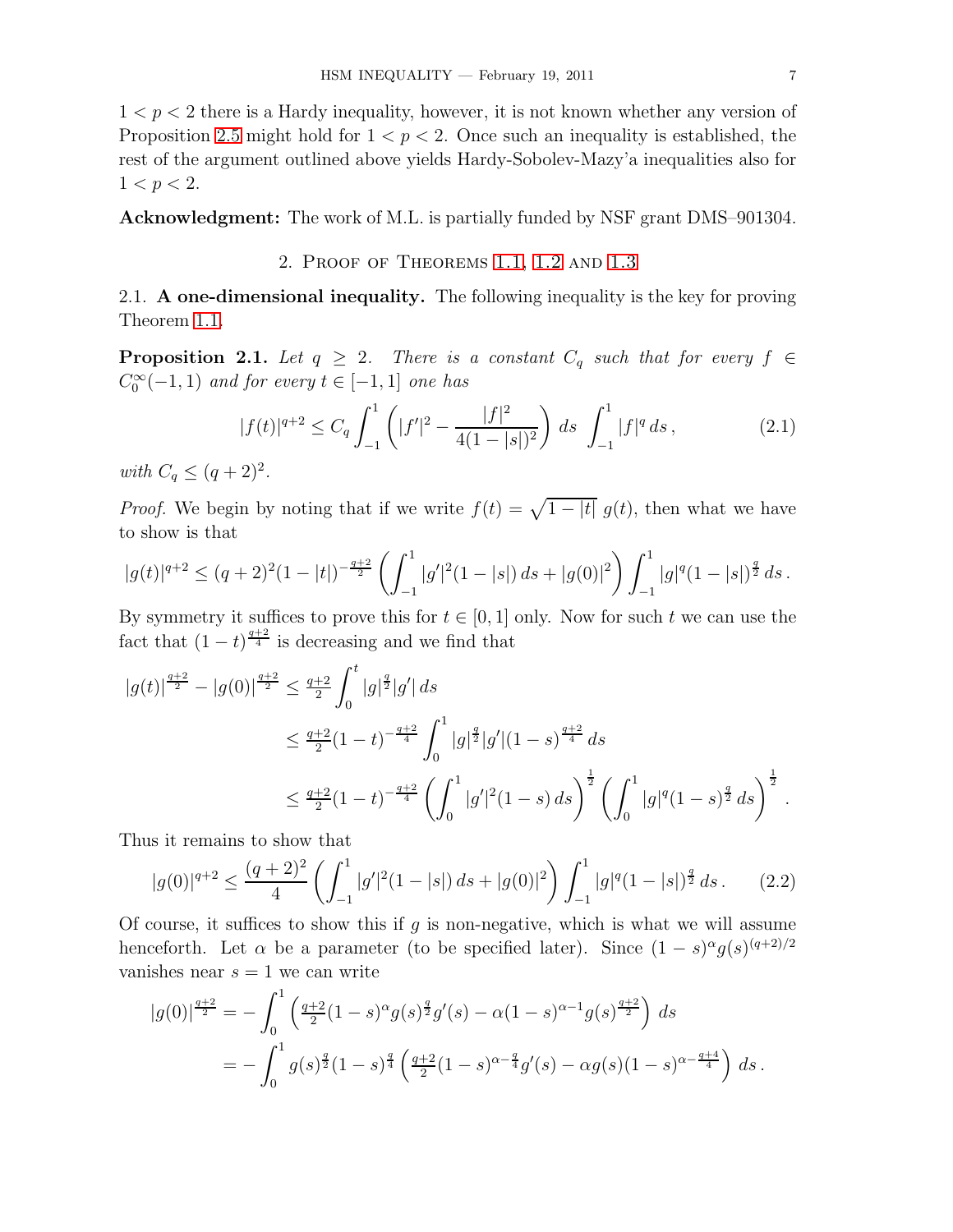$1 < p < 2$  there is a Hardy inequality, however, it is not known whether any version of Proposition [2.5](#page-10-0) might hold for  $1 < p < 2$ . Once such an inequality is established, the rest of the argument outlined above yields Hardy-Sobolev-Mazy'a inequalities also for  $1 < p < 2$ .

<span id="page-6-0"></span>Acknowledgment: The work of M.L. is partially funded by NSF grant DMS–901304.

### 2. Proof of Theorems [1.1,](#page-1-4) [1.2](#page-2-1) and [1.3](#page-2-2)

2.1. A one-dimensional inequality. The following inequality is the key for proving Theorem [1.1.](#page-1-4)

<span id="page-6-1"></span>**Proposition 2.1.** Let  $q \geq 2$ . There is a constant  $C_q$  such that for every  $f \in$  $C_0^{\infty}(-1,1)$  and for every  $t \in [-1,1]$  one has

<span id="page-6-3"></span>
$$
|f(t)|^{q+2} \le C_q \int_{-1}^1 \left( |f'|^2 - \frac{|f|^2}{4(1-|s|)^2} \right) ds \int_{-1}^1 |f|^q ds,
$$
\n(2.1)

with  $C_q \leq (q+2)^2$ .

*Proof.* We begin by noting that if we write  $f(t) = \sqrt{1 - |t|} g(t)$ , then what we have to show is that

$$
|g(t)|^{q+2} \le (q+2)^2 (1-|t|)^{-\frac{q+2}{2}} \left( \int_{-1}^1 |g'|^2 (1-|s|) \, ds + |g(0)|^2 \right) \int_{-1}^1 |g|^q (1-|s|)^{\frac{q}{2}} \, ds \, .
$$

By symmetry it suffices to prove this for  $t \in [0, 1]$  only. Now for such t we can use the fact that  $(1-t)^{\frac{q+2}{4}}$  is decreasing and we find that

$$
|g(t)|^{\frac{q+2}{2}} - |g(0)|^{\frac{q+2}{2}} \le \frac{q+2}{2} \int_0^t |g|^{\frac{q}{2}} |g'| ds
$$
  
\n
$$
\le \frac{q+2}{2} (1-t)^{-\frac{q+2}{4}} \int_0^1 |g|^{\frac{q}{2}} |g'| (1-s)^{\frac{q+2}{4}} ds
$$
  
\n
$$
\le \frac{q+2}{2} (1-t)^{-\frac{q+2}{4}} \left( \int_0^1 |g'|^2 (1-s) ds \right)^{\frac{1}{2}} \left( \int_0^1 |g|^q (1-s)^{\frac{q}{2}} ds \right)^{\frac{1}{2}}.
$$

Thus it remains to show that

<span id="page-6-2"></span>
$$
|g(0)|^{q+2} \le \frac{(q+2)^2}{4} \left( \int_{-1}^1 |g'|^2 (1-|s|) \, ds + |g(0)|^2 \right) \int_{-1}^1 |g|^q (1-|s|)^{\frac{q}{2}} \, ds \,. \tag{2.2}
$$

Of course, it suffices to show this if q is non-negative, which is what we will assume henceforth. Let  $\alpha$  be a parameter (to be specified later). Since  $(1-s)^{\alpha}g(s)^{(q+2)/2}$ vanishes near  $s = 1$  we can write

$$
|g(0)|^{\frac{q+2}{2}} = -\int_0^1 \left(\frac{q+2}{2}(1-s)^\alpha g(s)^{\frac{q}{2}}g'(s) - \alpha(1-s)^{\alpha-1}g(s)^{\frac{q+2}{2}}\right) ds
$$
  
= 
$$
-\int_0^1 g(s)^{\frac{q}{2}}(1-s)^{\frac{q}{4}} \left(\frac{q+2}{2}(1-s)^{\alpha-\frac{q}{4}}g'(s) - \alpha g(s)(1-s)^{\alpha-\frac{q+4}{4}}\right) ds.
$$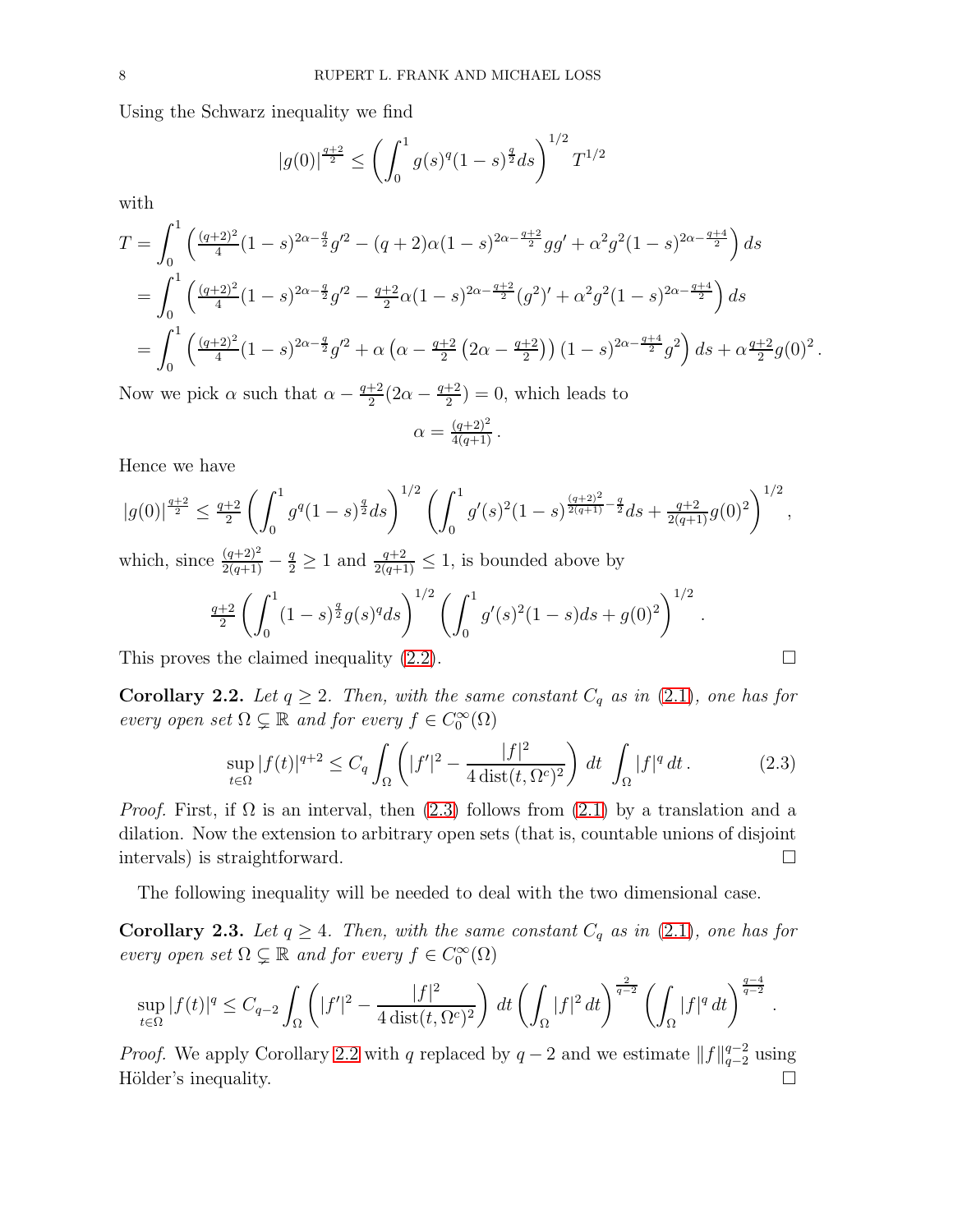Using the Schwarz inequality we find

$$
|g(0)|^{\frac{q+2}{2}} \le \left(\int_0^1 g(s)^q (1-s)^{\frac{q}{2}} ds\right)^{1/2} T^{1/2}
$$

with

$$
T = \int_0^1 \left( \frac{(q+2)^2}{4} (1-s)^{2\alpha - \frac{q}{2}} g'^2 - (q+2)\alpha (1-s)^{2\alpha - \frac{q+2}{2}} g g' + \alpha^2 g^2 (1-s)^{2\alpha - \frac{q+4}{2}} \right) ds
$$
  
= 
$$
\int_0^1 \left( \frac{(q+2)^2}{4} (1-s)^{2\alpha - \frac{q}{2}} g'^2 - \frac{q+2}{2} \alpha (1-s)^{2\alpha - \frac{q+2}{2}} (g^2)' + \alpha^2 g^2 (1-s)^{2\alpha - \frac{q+4}{2}} \right) ds
$$
  
= 
$$
\int_0^1 \left( \frac{(q+2)^2}{4} (1-s)^{2\alpha - \frac{q}{2}} g'^2 + \alpha \left( \alpha - \frac{q+2}{2} (2\alpha - \frac{q+2}{2}) \right) (1-s)^{2\alpha - \frac{q+4}{2}} g^2 \right) ds + \alpha^{\frac{q+2}{2}} g(0)^2.
$$

Now we pick  $\alpha$  such that  $\alpha - \frac{q+2}{2}$  $\frac{+2}{2}(2\alpha - \frac{q+2}{2})$  $\frac{+2}{2}$ ) = 0, which leads to

$$
\alpha = \frac{(q+2)^2}{4(q+1)} \, .
$$

Hence we have

$$
|g(0)|^{\frac{q+2}{2}} \le \frac{q+2}{2} \left( \int_0^1 g^q (1-s)^{\frac{q}{2}} ds \right)^{1/2} \left( \int_0^1 g'(s)^2 (1-s)^{\frac{(q+2)^2}{2(q+1)} - \frac{q}{2}} ds + \frac{q+2}{2(q+1)} g(0)^2 \right)^{1/2},
$$

which, since  $\frac{(q+2)^2}{2(q+1)} - \frac{q}{2} \ge 1$  and  $\frac{q+2}{2(q+1)} \le 1$ , is bounded above by

$$
\frac{q+2}{2}\left(\int_0^1 (1-s)^{\frac{q}{2}}g(s)^q ds\right)^{1/2} \left(\int_0^1 g'(s)^2(1-s)ds + g(0)^2\right)^{1/2}.
$$

This proves the claimed inequality  $(2.2)$ .

<span id="page-7-1"></span>Corollary 2.2. Let  $q \geq 2$ . Then, with the same constant  $C_q$  as in [\(2.1\)](#page-6-3), one has for every open set  $\Omega \subsetneq \mathbb{R}$  and for every  $f \in C_0^{\infty}(\Omega)$ 

<span id="page-7-0"></span>
$$
\sup_{t \in \Omega} |f(t)|^{q+2} \le C_q \int_{\Omega} \left( |f'|^2 - \frac{|f|^2}{4 \operatorname{dist}(t, \Omega^c)^2} \right) dt \int_{\Omega} |f|^q dt. \tag{2.3}
$$

*Proof.* First, if  $\Omega$  is an interval, then [\(2.3\)](#page-7-0) follows from [\(2.1\)](#page-6-3) by a translation and a dilation. Now the extension to arbitrary open sets (that is, countable unions of disjoint intervals) is straightforward.

The following inequality will be needed to deal with the two dimensional case.

<span id="page-7-2"></span>**Corollary 2.3.** Let  $q \geq 4$ . Then, with the same constant  $C_q$  as in [\(2.1\)](#page-6-3), one has for every open set  $\Omega \subsetneq \mathbb{R}$  and for every  $f \in C_0^{\infty}(\Omega)$ 

$$
\sup_{t\in\Omega}|f(t)|^q\leq C_{q-2}\int_{\Omega}\left(|f'|^2-\frac{|f|^2}{4\operatorname{dist}(t,\Omega^c)^2}\right)\,dt\left(\int_{\Omega}|f|^2\,dt\right)^{\frac{2}{q-2}}\left(\int_{\Omega}|f|^q\,dt\right)^{\frac{q-4}{q-2}}.
$$

*Proof.* We apply Corollary [2.2](#page-7-1) with q replaced by  $q-2$  and we estimate  $||f||_{q-2}^{q-2}$  using Hölder's inequality.  $\Box$ 

$$
\overline{}
$$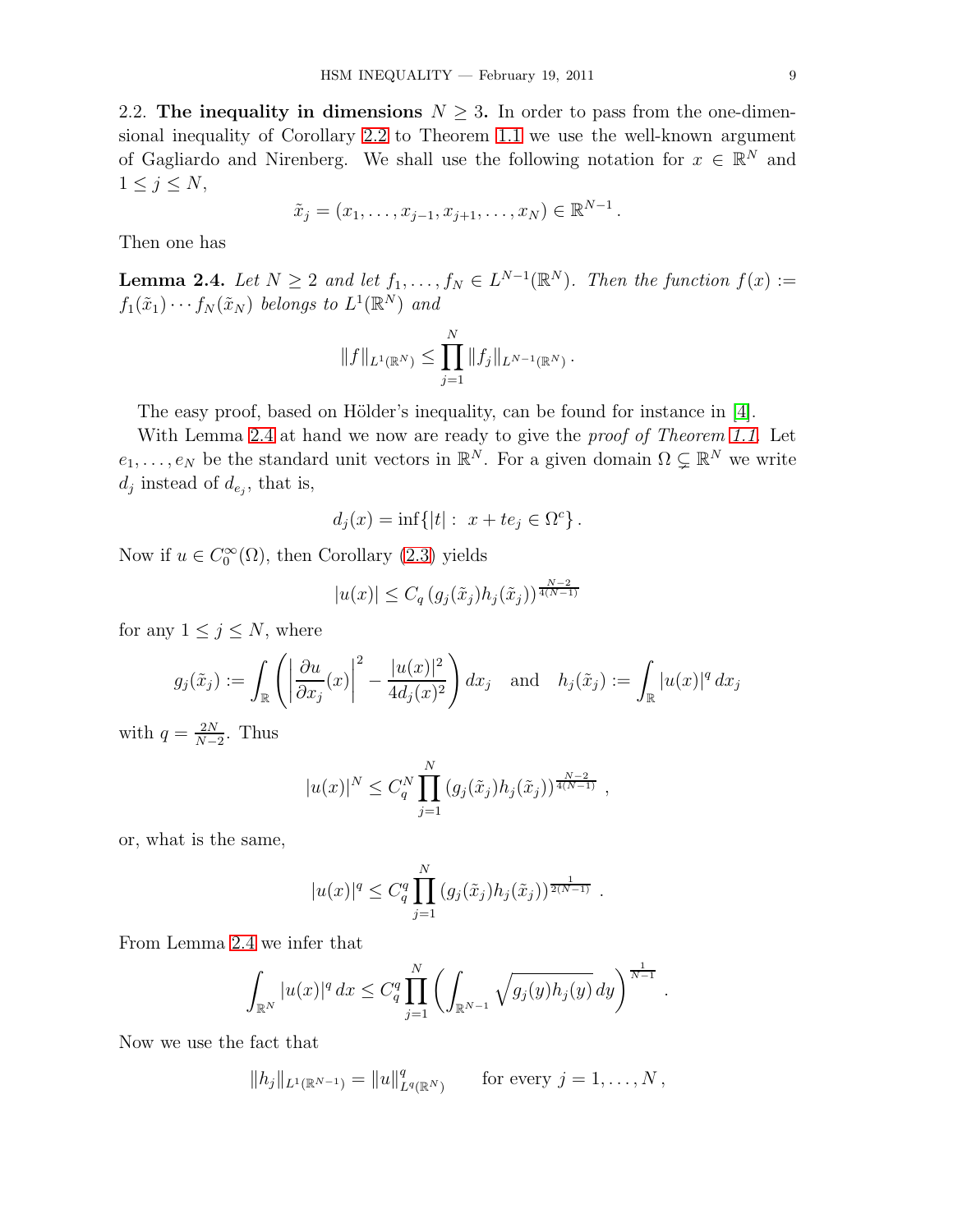2.2. The inequality in dimensions  $N \geq 3$ . In order to pass from the one-dimensional inequality of Corollary [2.2](#page-7-1) to Theorem [1.1](#page-1-4) we use the well-known argument of Gagliardo and Nirenberg. We shall use the following notation for  $x \in \mathbb{R}^N$  and  $1 \leq j \leq N$ ,

$$
\tilde{x}_j = (x_1, \ldots, x_{j-1}, x_{j+1}, \ldots, x_N) \in \mathbb{R}^{N-1}.
$$

Then one has

<span id="page-8-0"></span>**Lemma 2.4.** Let  $N \geq 2$  and let  $f_1, \ldots, f_N \in L^{N-1}(\mathbb{R}^N)$ . Then the function  $f(x) :=$  $f_1(\tilde{x}_1) \cdots f_N(\tilde{x}_N)$  belongs to  $L^1(\mathbb{R}^N)$  and

$$
||f||_{L^1(\mathbb{R}^N)} \leq \prod_{j=1}^N ||f_j||_{L^{N-1}(\mathbb{R}^N)}.
$$

The easy proof, based on Hölder's inequality, can be found for instance in [\[4\]](#page-17-19).

With Lemma [2.4](#page-8-0) at hand we now are ready to give the *proof of Theorem [1.1](#page-1-4)*. Let  $e_1, \ldots, e_N$  be the standard unit vectors in  $\mathbb{R}^N$ . For a given domain  $\Omega \subsetneq \mathbb{R}^N$  we write  $d_j$  instead of  $d_{e_j}$ , that is,

$$
d_j(x) = \inf\{|t| : x + te_j \in \Omega^c\}.
$$

Now if  $u \in C_0^{\infty}(\Omega)$ , then Corollary [\(2.3\)](#page-7-0) yields

$$
|u(x)| \leq C_q \left( g_j(\tilde{x}_j) h_j(\tilde{x}_j) \right)^{\frac{N-2}{4(N-1)}}
$$

for any  $1 \leq j \leq N$ , where

$$
g_j(\tilde{x}_j) := \int_{\mathbb{R}} \left( \left| \frac{\partial u}{\partial x_j}(x) \right|^2 - \frac{|u(x)|^2}{4d_j(x)^2} \right) dx_j \quad \text{and} \quad h_j(\tilde{x}_j) := \int_{\mathbb{R}} |u(x)|^q dx_j
$$

with  $q = \frac{2N}{N-1}$  $\frac{2N}{N-2}$ . Thus

$$
|u(x)|^N \leq C_q^N \prod_{j=1}^N (g_j(\tilde{x}_j) h_j(\tilde{x}_j))^{\frac{N-2}{4(N-1)}},
$$

or, what is the same,

$$
|u(x)|^q \leq C_q^q \prod_{j=1}^N (g_j(\tilde{x}_j) h_j(\tilde{x}_j))^{\frac{1}{2(N-1)}}.
$$

From Lemma [2.4](#page-8-0) we infer that

$$
\int_{\mathbb{R}^N} |u(x)|^q dx \leq C_q^q \prod_{j=1}^N \left( \int_{\mathbb{R}^{N-1}} \sqrt{g_j(y) h_j(y)} dy \right)^{\frac{1}{N-1}}.
$$

Now we use the fact that

$$
||h_j||_{L^1(\mathbb{R}^{N-1})} = ||u||_{L^q(\mathbb{R}^N)}^q \quad \text{for every } j = 1, ..., N,
$$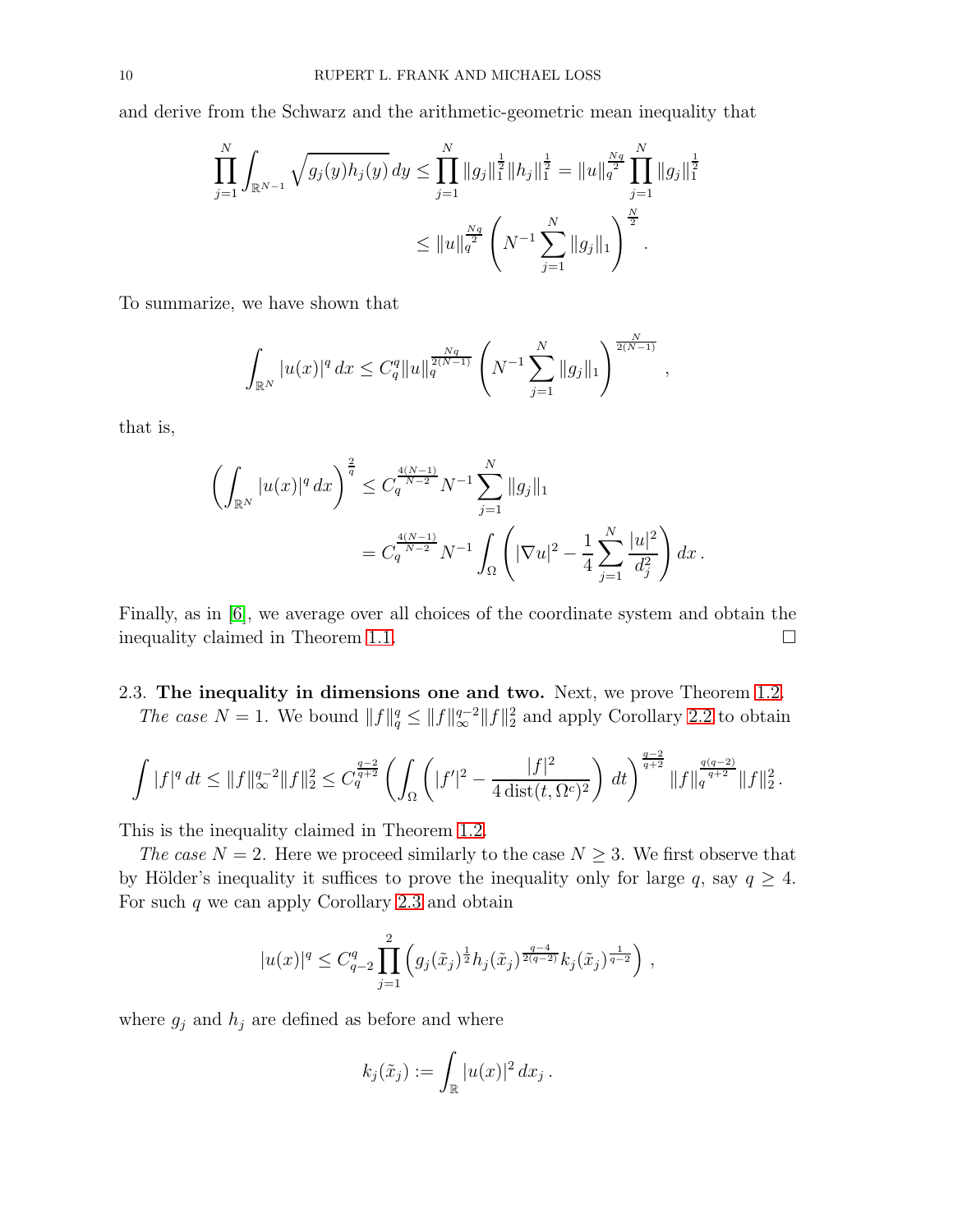and derive from the Schwarz and the arithmetic-geometric mean inequality that

$$
\prod_{j=1}^N \int_{\mathbb{R}^{N-1}} \sqrt{g_j(y) h_j(y)} dy \le \prod_{j=1}^N \|g_j\|_1^{\frac{1}{2}} \|h_j\|_1^{\frac{1}{2}} = \|u\|_q^{\frac{Nq}{2}} \prod_{j=1}^N \|g_j\|_1^{\frac{1}{2}}
$$

$$
\leq \|u\|_q^{\frac{Nq}{2}} \left(N^{-1} \sum_{j=1}^N \|g_j\|_1\right)^{\frac{N}{2}}.
$$

To summarize, we have shown that

$$
\int_{\mathbb{R}^N} |u(x)|^q dx \leq C_q^q \|u\|_q^{\frac{Nq}{2(N-1)}} \left(N^{-1} \sum_{j=1}^N \|g_j\|_1\right)^{\frac{N}{2(N-1)}},
$$

that is,

$$
\left(\int_{\mathbb{R}^N} |u(x)|^q dx\right)^{\frac{2}{q}} \leq C_q^{\frac{4(N-1)}{N-2}} N^{-1} \sum_{j=1}^N \|g_j\|_1
$$
  
=  $C_q^{\frac{4(N-1)}{N-2}} N^{-1} \int_{\Omega} \left(|\nabla u|^2 - \frac{1}{4} \sum_{j=1}^N \frac{|u|^2}{d_j^2}\right) dx$ .

Finally, as in [\[6\]](#page-17-9), we average over all choices of the coordinate system and obtain the inequality claimed in Theorem [1.1.](#page-1-4)

# 2.3. The inequality in dimensions one and two. Next, we prove Theorem [1.2.](#page-2-1)

The case  $N = 1$ . We bound  $||f||_q^q \le ||f||_{\infty}^{q-2} ||f||_2^2$  and apply Corollary [2.2](#page-7-1) to obtain

$$
\int |f|^q dt \le \|f\|_{\infty}^{q-2} \|f\|_2^2 \le C_q^{\frac{q-2}{q+2}} \left( \int_{\Omega} \left( |f'|^2 - \frac{|f|^2}{4 \operatorname{dist}(t, \Omega^c)^2} \right) dt \right)^{\frac{q-2}{q+2}} \|f\|_q^{\frac{q(q-2)}{q+2}} \|f\|_2^2.
$$

This is the inequality claimed in Theorem [1.2.](#page-2-1)

The case  $N = 2$ . Here we proceed similarly to the case  $N \geq 3$ . We first observe that by Hölder's inequality it suffices to prove the inequality only for large q, say  $q \geq 4$ . For such  $q$  we can apply Corollary [2.3](#page-7-2) and obtain

$$
|u(x)|^q \leq C_{q-2}^q \prod_{j=1}^2 \left( g_j(\tilde{x}_j)^{\frac{1}{2}} h_j(\tilde{x}_j)^{\frac{q-4}{2(q-2)}} k_j(\tilde{x}_j)^{\frac{1}{q-2}} \right) ,
$$

where  $g_j$  and  $h_j$  are defined as before and where

$$
k_j(\tilde{x}_j) := \int_{\mathbb{R}} |u(x)|^2 dx_j.
$$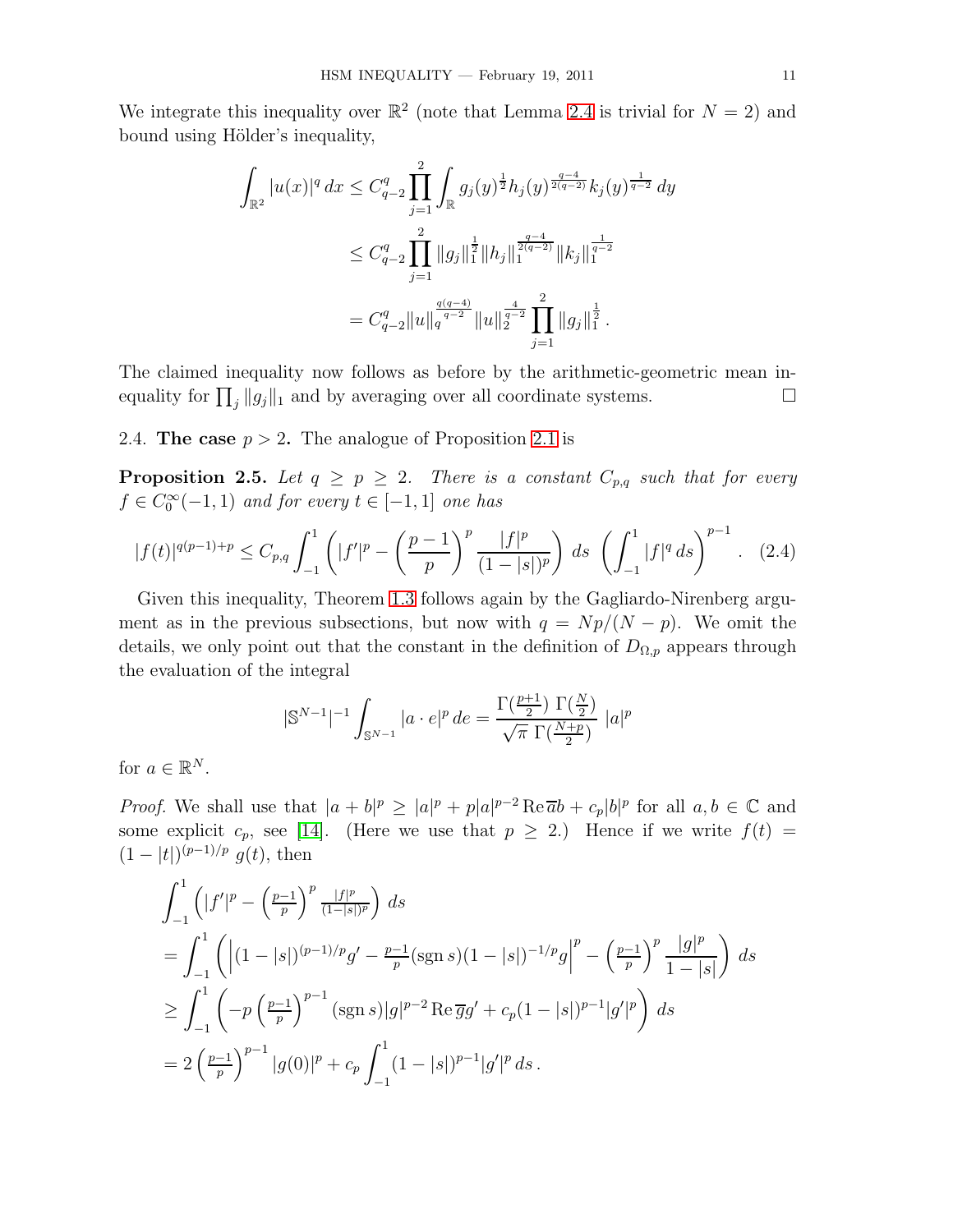We integrate this inequality over  $\mathbb{R}^2$  (note that Lemma [2.4](#page-8-0) is trivial for  $N = 2$ ) and bound using Hölder's inequality,

$$
\int_{\mathbb{R}^2} |u(x)|^q dx \leq C_{q-2}^q \prod_{j=1}^2 \int_{\mathbb{R}} g_j(y)^{\frac{1}{2}} h_j(y)^{\frac{q-4}{2(q-2)}} k_j(y)^{\frac{1}{q-2}} dy
$$
  

$$
\leq C_{q-2}^q \prod_{j=1}^2 ||g_j||_1^{\frac{1}{2}} ||h_j||_1^{\frac{q-4}{2(q-2)}} ||k_j||_1^{\frac{1}{q-2}}
$$
  

$$
= C_{q-2}^q ||u||_q^{\frac{q(q-4)}{q-2}} ||u||_2^{\frac{4}{q-2}} \prod_{j=1}^2 ||g_j||_1^{\frac{1}{2}}.
$$

The claimed inequality now follows as before by the arithmetic-geometric mean inequality for  $\prod_j ||g_j||_1$  and by averaging over all coordinate systems.

2.4. The case  $p > 2$ . The analogue of Proposition [2.1](#page-6-1) is

<span id="page-10-0"></span>**Proposition 2.5.** Let  $q \geq p \geq 2$ . There is a constant  $C_{p,q}$  such that for every  $f \in C_0^{\infty}(-1,1)$  and for every  $t \in [-1,1]$  one has

$$
|f(t)|^{q(p-1)+p} \le C_{p,q} \int_{-1}^{1} \left( |f'|^p - \left(\frac{p-1}{p}\right)^p \frac{|f|^p}{(1-|s|)^p} \right) ds \left( \int_{-1}^{1} |f|^q ds \right)^{p-1} . \tag{2.4}
$$

Given this inequality, Theorem [1.3](#page-2-2) follows again by the Gagliardo-Nirenberg argument as in the previous subsections, but now with  $q = Np/(N - p)$ . We omit the details, we only point out that the constant in the definition of  $D_{\Omega,p}$  appears through the evaluation of the integral

$$
|\mathbb{S}^{N-1}|^{-1} \int_{\mathbb{S}^{N-1}} |a \cdot e|^p \, de = \frac{\Gamma(\frac{p+1}{2}) \, \Gamma(\frac{N}{2})}{\sqrt{\pi} \, \Gamma(\frac{N+p}{2})} \, |a|^p
$$

for  $a \in \mathbb{R}^N$ .

*Proof.* We shall use that  $|a + b|^p \geq |a|^p + p|a|^{p-2} \text{Re } \overline{a}b + c_p|b|^p$  for all  $a, b \in \mathbb{C}$  and some explicit  $c_p$ , see [\[14\]](#page-17-20). (Here we use that  $p \geq 2$ .) Hence if we write  $f(t) =$  $(1-|t|)^{(p-1)/p} g(t)$ , then

$$
\int_{-1}^{1} \left( |f'|^p - \left(\frac{p-1}{p}\right)^p \frac{|f|^p}{(1-|s|)^p} \right) ds
$$
  
\n
$$
= \int_{-1}^{1} \left( |(1-|s|)^{(p-1)/p} g' - \frac{p-1}{p} (\operatorname{sgn} s) (1-|s|)^{-1/p} g \Big|^p - \left(\frac{p-1}{p}\right)^p \frac{|g|^p}{1-|s|} \right) ds
$$
  
\n
$$
\geq \int_{-1}^{1} \left( -p \left(\frac{p-1}{p}\right)^{p-1} (\operatorname{sgn} s) |g|^{p-2} \operatorname{Re} \overline{g} g' + c_p (1-|s|)^{p-1} |g'|^p \right) ds
$$
  
\n
$$
= 2 \left(\frac{p-1}{p}\right)^{p-1} |g(0)|^p + c_p \int_{-1}^{1} (1-|s|)^{p-1} |g'|^p ds.
$$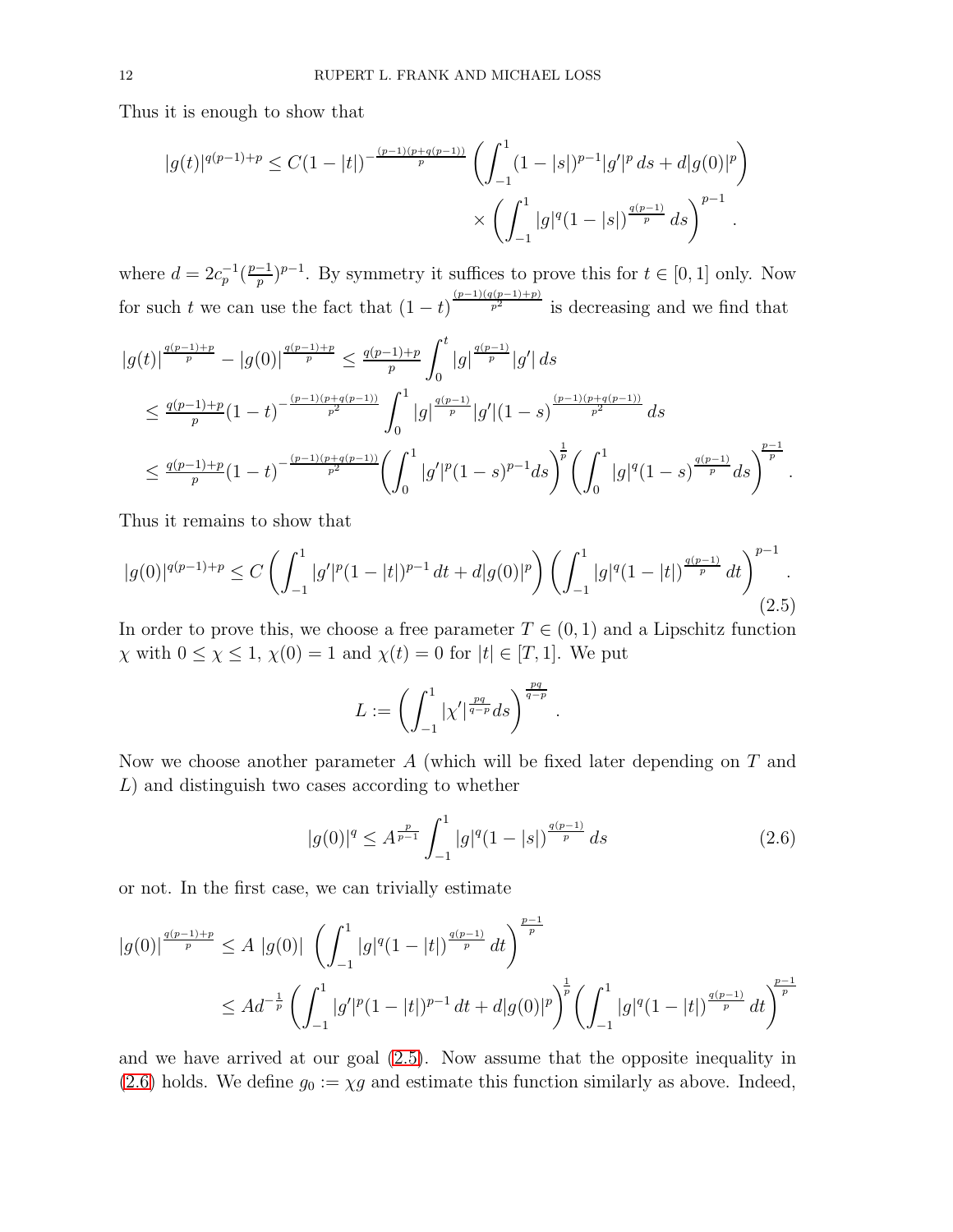Thus it is enough to show that

$$
|g(t)|^{q(p-1)+p} \le C(1-|t|)^{-\frac{(p-1)(p+q(p-1))}{p}} \left(\int_{-1}^{1} (1-|s|)^{p-1} |g'|^p ds + d|g(0)|^p\right) \times \left(\int_{-1}^{1} |g|^q (1-|s|)^{\frac{q(p-1)}{p}} ds\right)^{p-1}.
$$

where  $d = 2c_p^{-1}(\frac{p-1}{p})$  $\frac{(-1)}{p}$ <sup>p-1</sup>. By symmetry it suffices to prove this for  $t \in [0, 1]$  only. Now for such t we can use the fact that  $(1-t)^{\frac{(p-1)(q(p-1)+p)}{p^2}}$  is decreasing and we find that

$$
\begin{split} &|g(t)|^{\frac{q(p-1)+p}{p}}-|g(0)|^{\frac{q(p-1)+p}{p}}\leq \frac{q(p-1)+p}{p}\int_{0}^{t}|g|^{\frac{q(p-1)}{p}}|g'|\,ds\\ &\leq \frac{q(p-1)+p}{p}(1-t)^{-\frac{(p-1)(p+q(p-1))}{p^2}}\int_{0}^{1}|g|^{\frac{q(p-1)}{p}}|g'|(1-s)^{\frac{(p-1)(p+q(p-1))}{p^2}}\,ds\\ &\leq \frac{q(p-1)+p}{p}(1-t)^{-\frac{(p-1)(p+q(p-1))}{p^2}}\biggl(\int_{0}^{1}|g'|^p(1-s)^{p-1}ds\biggr)^{\frac{1}{p}}\biggl(\int_{0}^{1}|g|^q(1-s)^{\frac{q(p-1)}{p}}ds\biggr)^{\frac{p-1}{p}}\,.\end{split}
$$

Thus it remains to show that

<span id="page-11-0"></span>
$$
|g(0)|^{q(p-1)+p} \le C \left(\int_{-1}^1 |g'|^p (1-|t|)^{p-1} dt + d|g(0)|^p\right) \left(\int_{-1}^1 |g|^q (1-|t|)^{\frac{q(p-1)}{p}} dt\right)^{p-1}.
$$
\n(2.5)

In order to prove this, we choose a free parameter  $T \in (0, 1)$  and a Lipschitz function  $\chi$  with  $0 \leq \chi \leq 1$ ,  $\chi(0) = 1$  and  $\chi(t) = 0$  for  $|t| \in [T, 1]$ . We put

$$
L := \left( \int_{-1}^1 |\chi'|^{\frac{pq}{q-p}} ds \right)^{\frac{pq}{q-p}}.
$$

Now we choose another parameter A (which will be fixed later depending on T and L) and distinguish two cases according to whether

<span id="page-11-1"></span>
$$
|g(0)|^q \le A^{\frac{p}{p-1}} \int_{-1}^1 |g|^q (1-|s|)^{\frac{q(p-1)}{p}} ds \tag{2.6}
$$

or not. In the first case, we can trivially estimate

$$
|g(0)|^{\frac{q(p-1)+p}{p}} \le A |g(0)| \left( \int_{-1}^{1} |g|^q (1-|t|)^{\frac{q(p-1)}{p}} dt \right)^{\frac{p-1}{p}}
$$
  

$$
\le A d^{-\frac{1}{p}} \left( \int_{-1}^{1} |g'|^p (1-|t|)^{p-1} dt + d|g(0)|^p \right)^{\frac{1}{p}} \left( \int_{-1}^{1} |g|^q (1-|t|)^{\frac{q(p-1)}{p}} dt \right)^{\frac{p-1}{p}}
$$

and we have arrived at our goal [\(2.5\)](#page-11-0). Now assume that the opposite inequality in [\(2.6\)](#page-11-1) holds. We define  $g_0 := \chi g$  and estimate this function similarly as above. Indeed,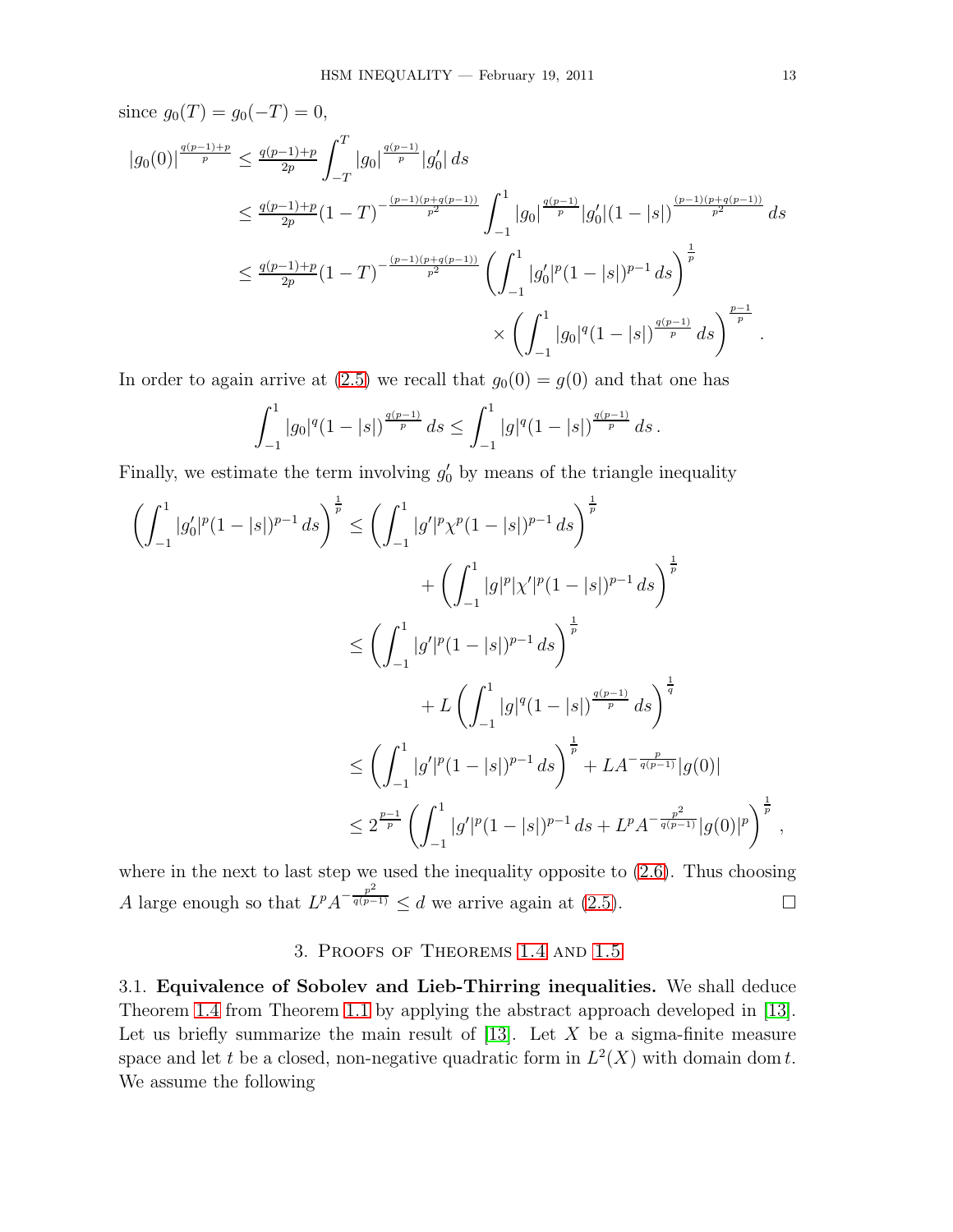since  $g_0(T) = g_0(-T) = 0$ ,

$$
\begin{split} |g_{0}(0)|^{\frac{q(p-1)+p}{p}} &\leq \frac{q(p-1)+p}{2p}\int_{-T}^{T}|g_{0}|^{\frac{q(p-1)}{p}}|g_{0}'| \, ds \\ &\leq \frac{q(p-1)+p}{2p}(1-T)^{-\frac{(p-1)(p+q(p-1))}{p^{2}}}\int_{-1}^{1}|g_{0}|^{\frac{q(p-1)}{p}}|g_{0}'|(1-|s|)^{\frac{(p-1)(p+q(p-1))}{p^{2}}}\, ds \\ &\leq \frac{q(p-1)+p}{2p}(1-T)^{-\frac{(p-1)(p+q(p-1))}{p^{2}}}\left(\int_{-1}^{1}|g_{0}'|^{p}(1-|s|)^{p-1} \, ds\right)^{\frac{1}{p}} \\ &\times\left(\int_{-1}^{1}|g_{0}|^{q}(1-|s|)^{\frac{q(p-1)}{p}} \, ds\right)^{\frac{p-1}{p}}. \end{split}
$$

In order to again arrive at [\(2.5\)](#page-11-0) we recall that  $g_0(0) = g(0)$  and that one has

$$
\int_{-1}^1 |g_0|^q (1-|s|)^{\frac{q(p-1)}{p}} ds \le \int_{-1}^1 |g|^q (1-|s|)^{\frac{q(p-1)}{p}} ds.
$$

Finally, we estimate the term involving  $g'_0$  by means of the triangle inequality

$$
\left(\int_{-1}^{1} |g_0'|^p (1-|s|)^{p-1} ds\right)^{\frac{1}{p}} \le \left(\int_{-1}^{1} |g'|^p \chi^p (1-|s|)^{p-1} ds\right)^{\frac{1}{p}}
$$
  
+ 
$$
\left(\int_{-1}^{1} |g|^p |\chi'|^p (1-|s|)^{p-1} ds\right)^{\frac{1}{p}}
$$
  

$$
\le \left(\int_{-1}^{1} |g'|^p (1-|s|)^{p-1} ds\right)^{\frac{1}{p}}
$$
  
+ 
$$
L \left(\int_{-1}^{1} |g|^q (1-|s|)^{\frac{q(p-1)}{p}} ds\right)^{\frac{1}{q}}
$$
  

$$
\le \left(\int_{-1}^{1} |g'|^p (1-|s|)^{p-1} ds\right)^{\frac{1}{p}} + LA^{-\frac{p}{q(p-1)}}|g(0)|
$$
  

$$
\le 2^{\frac{p-1}{p}} \left(\int_{-1}^{1} |g'|^p (1-|s|)^{p-1} ds + L^p A^{-\frac{p^2}{q(p-1)}} |g(0)|^p\right)^{\frac{1}{p}},
$$

where in the next to last step we used the inequality opposite to  $(2.6)$ . Thus choosing A large enough so that  $L^p A^{-\frac{p^2}{q(p-1)}} \le d$  we arrive again at [\(2.5\)](#page-11-0).

## 3. Proofs of Theorems [1.4](#page-3-3) and [1.5](#page-4-1)

3.1. Equivalence of Sobolev and Lieb-Thirring inequalities. We shall deduce Theorem [1.4](#page-3-3) from Theorem [1.1](#page-1-4) by applying the abstract approach developed in [\[13\]](#page-17-18). Let us briefly summarize the main result of  $[13]$ . Let X be a sigma-finite measure space and let t be a closed, non-negative quadratic form in  $L^2(X)$  with domain dom t. We assume the following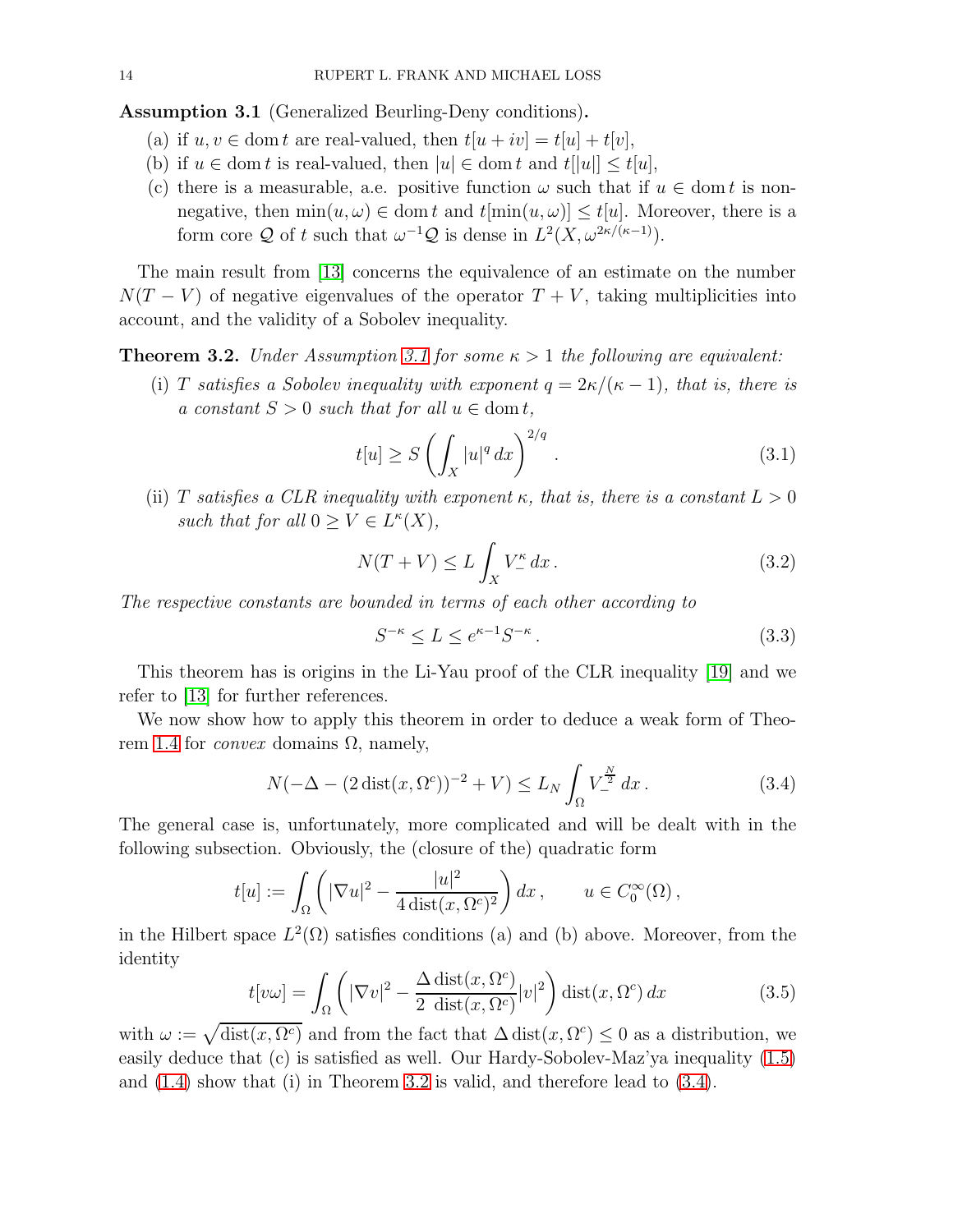<span id="page-13-0"></span>Assumption 3.1 (Generalized Beurling-Deny conditions).

- (a) if  $u, v \in \text{dom } t$  are real-valued, then  $t[u + iv] = t[u] + t[v]$ ,
- (b) if  $u \in \text{dom } t$  is real-valued, then  $|u| \in \text{dom } t$  and  $t[|u|] \le t[u]$ ,
- (c) there is a measurable, a.e. positive function  $\omega$  such that if  $u \in \text{dom } t$  is nonnegative, then  $\min(u, \omega) \in \text{dom } t$  and  $t[\min(u, \omega)] \leq t[u]$ . Moreover, there is a form core Q of t such that  $\omega^{-1}Q$  is dense in  $L^2(X, \omega^{2\kappa/(\kappa-1)})$ .

The main result from [\[13\]](#page-17-18) concerns the equivalence of an estimate on the number  $N(T - V)$  of negative eigenvalues of the operator  $T + V$ , taking multiplicities into account, and the validity of a Sobolev inequality.

<span id="page-13-1"></span>**Theorem 3.2.** Under Assumption [3.1](#page-13-0) for some  $\kappa > 1$  the following are equivalent:

(i) T satisfies a Sobolev inequality with exponent  $q = 2\kappa/(\kappa - 1)$ , that is, there is a constant  $S > 0$  such that for all  $u \in \text{dom } t$ ,

$$
t[u] \ge S\left(\int_X |u|^q \, dx\right)^{2/q}.\tag{3.1}
$$

(ii) T satisfies a CLR inequality with exponent  $\kappa$ , that is, there is a constant  $L > 0$ such that for all  $0 \ge V \in L^{\kappa}(X)$ ,

$$
N(T+V) \le L \int_X V_-^{\kappa} dx.
$$
\n(3.2)

The respective constants are bounded in terms of each other according to

$$
S^{-\kappa} \le L \le e^{\kappa - 1} S^{-\kappa} \,. \tag{3.3}
$$

This theorem has is origins in the Li-Yau proof of the CLR inequality [\[19\]](#page-17-21) and we refer to [\[13\]](#page-17-18) for further references.

We now show how to apply this theorem in order to deduce a weak form of Theo-rem [1.4](#page-3-3) for *convex* domains  $\Omega$ , namely,

<span id="page-13-2"></span>
$$
N(-\Delta - (2\operatorname{dist}(x, \Omega^c))^{-2} + V) \le L_N \int_{\Omega} V^{\frac{N}{2}}_{-} dx.
$$
 (3.4)

The general case is, unfortunately, more complicated and will be dealt with in the following subsection. Obviously, the (closure of the) quadratic form

$$
t[u] := \int_{\Omega} \left( |\nabla u|^2 - \frac{|u|^2}{4 \operatorname{dist}(x, \Omega^c)^2} \right) dx, \qquad u \in C_0^{\infty}(\Omega),
$$

in the Hilbert space  $L^2(\Omega)$  satisfies conditions (a) and (b) above. Moreover, from the identity

<span id="page-13-3"></span>
$$
t[v\omega] = \int_{\Omega} \left( |\nabla v|^2 - \frac{\Delta \operatorname{dist}(x, \Omega^c)}{2 \operatorname{dist}(x, \Omega^c)} |v|^2 \right) \operatorname{dist}(x, \Omega^c) dx \tag{3.5}
$$

with  $\omega := \sqrt{\text{dist}(x, \Omega^c)}$  and from the fact that  $\Delta \text{dist}(x, \Omega^c) \leq 0$  as a distribution, we easily deduce that (c) is satisfied as well. Our Hardy-Sobolev-Maz'ya inequality [\(1.5\)](#page-1-2) and [\(1.4\)](#page-1-1) show that (i) in Theorem [3.2](#page-13-1) is valid, and therefore lead to [\(3.4\)](#page-13-2).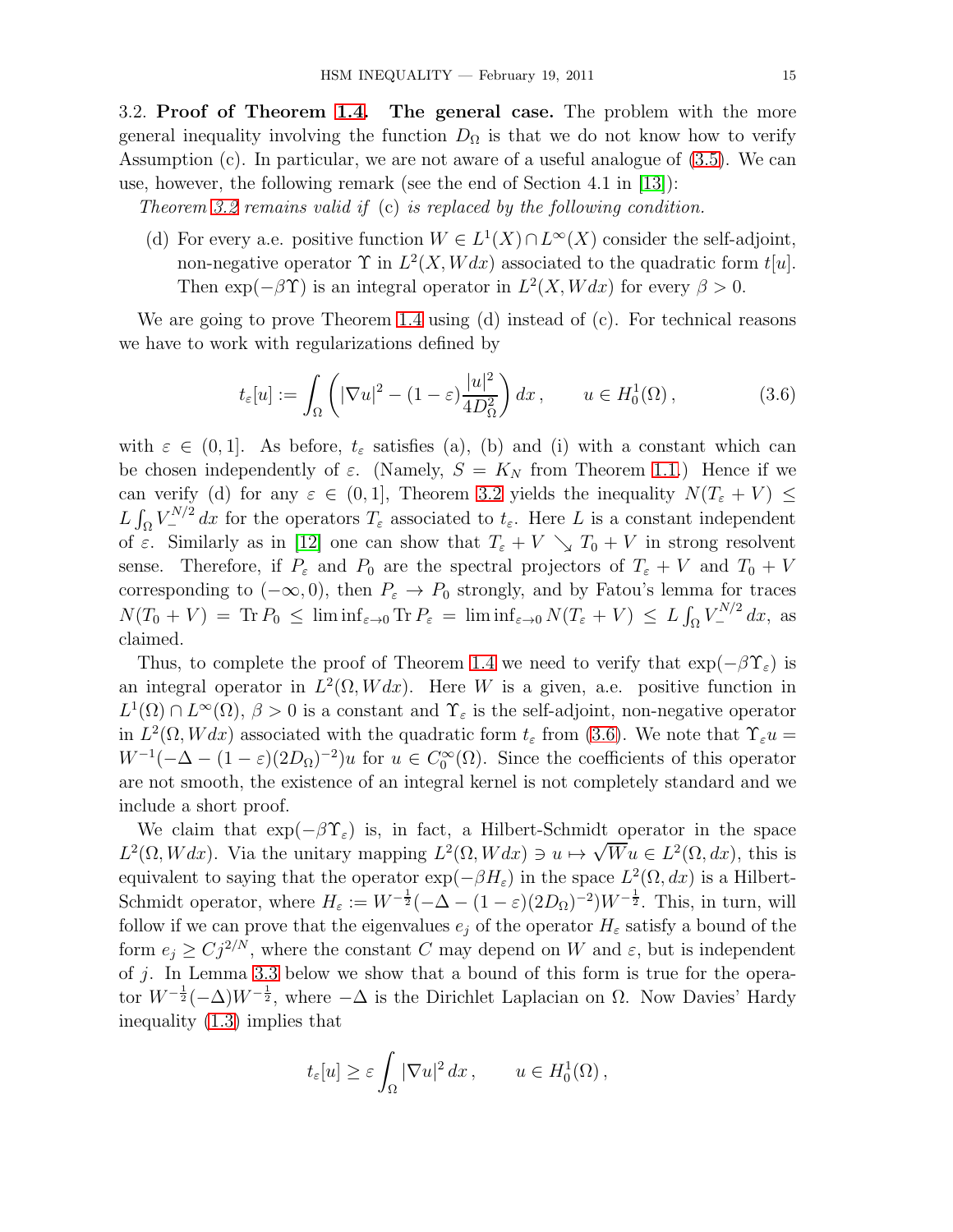3.2. Proof of Theorem [1.4.](#page-3-3) The general case. The problem with the more general inequality involving the function  $D_{\Omega}$  is that we do not know how to verify Assumption (c). In particular, we are not aware of a useful analogue of [\(3.5\)](#page-13-3). We can use, however, the following remark (see the end of Section 4.1 in [\[13\]](#page-17-18)):

Theorem [3.2](#page-13-1) remains valid if (c) is replaced by the following condition.

(d) For every a.e. positive function  $W \in L^1(X) \cap L^{\infty}(X)$  consider the self-adjoint, non-negative operator  $\Upsilon$  in  $L^2(X, Wdx)$  associated to the quadratic form  $t[u]$ . Then  $\exp(-\beta \Upsilon)$  is an integral operator in  $L^2(X, Wdx)$  for every  $\beta > 0$ .

We are going to prove Theorem [1.4](#page-3-3) using (d) instead of (c). For technical reasons we have to work with regularizations defined by

<span id="page-14-0"></span>
$$
t_{\varepsilon}[u] := \int_{\Omega} \left( |\nabla u|^2 - (1 - \varepsilon) \frac{|u|^2}{4D_{\Omega}^2} \right) dx, \qquad u \in H_0^1(\Omega), \tag{3.6}
$$

with  $\varepsilon \in (0,1]$ . As before,  $t_{\varepsilon}$  satisfies (a), (b) and (i) with a constant which can be chosen independently of  $\varepsilon$ . (Namely,  $S = K_N$  from Theorem [1.1.](#page-1-4)) Hence if we can verify (d) for any  $\varepsilon \in (0,1]$ , Theorem [3.2](#page-13-1) yields the inequality  $N(T_{\varepsilon} + V) \leq$  $L \int_{\Omega} V_{-}^{N/2} dx$  for the operators  $T_{\varepsilon}$  associated to  $t_{\varepsilon}$ . Here L is a constant independent of  $\varepsilon$ . Similarly as in [\[12\]](#page-17-16) one can show that  $T_{\varepsilon} + V \searrow T_0 + V$  in strong resolvent sense. Therefore, if  $P_{\varepsilon}$  and  $P_0$  are the spectral projectors of  $T_{\varepsilon} + V$  and  $T_0 + V$ corresponding to  $(-\infty, 0)$ , then  $P_{\varepsilon} \to P_0$  strongly, and by Fatou's lemma for traces  $N(T_0 + V) = \text{Tr } P_0 \leq \liminf_{\varepsilon \to 0} \text{Tr } P_{\varepsilon} = \liminf_{\varepsilon \to 0} N(T_{\varepsilon} + V) \leq L \int_{\Omega} V_{-}^{N/2} dx$ , as claimed.

Thus, to complete the proof of Theorem [1.4](#page-3-3) we need to verify that  $\exp(-\beta \Upsilon_{\varepsilon})$  is an integral operator in  $L^2(\Omega, Wdx)$ . Here W is a given, a.e. positive function in  $L^1(\Omega) \cap L^{\infty}(\Omega)$ ,  $\beta > 0$  is a constant and  $\Upsilon_{\varepsilon}$  is the self-adjoint, non-negative operator in  $L^2(\Omega, Wdx)$  associated with the quadratic form  $t_\varepsilon$  from [\(3.6\)](#page-14-0). We note that  $\Upsilon_\varepsilon u =$  $W^{-1}(-\Delta - (1 - \varepsilon)(2D_{\Omega})^{-2})u$  for  $u \in C_0^{\infty}(\Omega)$ . Since the coefficients of this operator are not smooth, the existence of an integral kernel is not completely standard and we include a short proof.

We claim that  $\exp(-\beta \Upsilon_{\varepsilon})$  is, in fact, a Hilbert-Schmidt operator in the space  $L^2(\Omega, Wdx)$ . Via the unitary mapping  $L^2(\Omega, Wdx) \ni u \mapsto \sqrt{W}u \in L^2(\Omega, dx)$ , this is equivalent to saying that the operator  $\exp(-\beta H_{\varepsilon})$  in the space  $L^2(\Omega, dx)$  is a Hilbert-Schmidt operator, where  $H_{\varepsilon} := W^{-\frac{1}{2}}(-\Delta - (1 - \varepsilon)(2D_{\Omega})^{-2})W^{-\frac{1}{2}}$ . This, in turn, will follow if we can prove that the eigenvalues  $e_j$  of the operator  $H_\varepsilon$  satisfy a bound of the form  $e_i \geq C_j^2N$ , where the constant C may depend on W and  $\varepsilon$ , but is independent of  $j$ . In Lemma [3.3](#page-15-0) below we show that a bound of this form is true for the operator  $W^{-\frac{1}{2}}(-\Delta)W^{-\frac{1}{2}}$ , where  $-\Delta$  is the Dirichlet Laplacian on  $\Omega$ . Now Davies' Hardy inequality [\(1.3\)](#page-1-0) implies that

$$
t_{\varepsilon}[u] \geq \varepsilon \int_{\Omega} |\nabla u|^2 dx
$$
,  $u \in H_0^1(\Omega)$ ,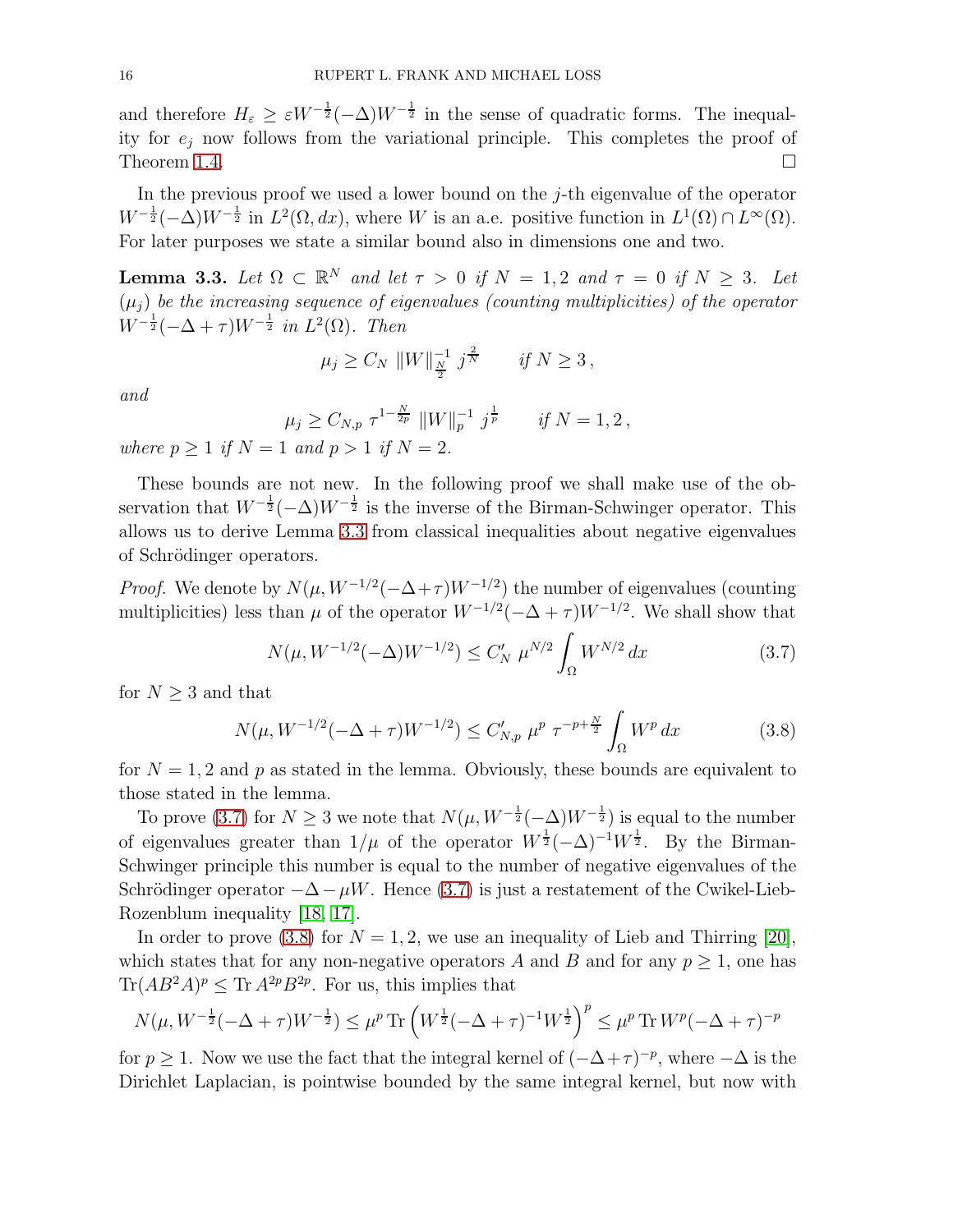and therefore  $H_{\varepsilon} \geq \varepsilon W^{-\frac{1}{2}}(-\Delta)W^{-\frac{1}{2}}$  in the sense of quadratic forms. The inequality for  $e_j$  now follows from the variational principle. This completes the proof of Theorem [1.4.](#page-3-3)  $\Box$ 

In the previous proof we used a lower bound on the  $j$ -th eigenvalue of the operator  $W^{-\frac{1}{2}}(-\Delta)W^{-\frac{1}{2}}$  in  $L^2(\Omega, dx)$ , where W is an a.e. positive function in  $L^1(\Omega) \cap L^{\infty}(\Omega)$ . For later purposes we state a similar bound also in dimensions one and two.

<span id="page-15-0"></span>**Lemma 3.3.** Let  $\Omega \subset \mathbb{R}^N$  and let  $\tau > 0$  if  $N = 1, 2$  and  $\tau = 0$  if  $N \geq 3$ . Let  $(\mu_i)$  be the increasing sequence of eigenvalues (counting multiplicities) of the operator  $W^{-\frac{1}{2}}(-\Delta + \tau)W^{-\frac{1}{2}}$  in  $L^2(\Omega)$ . Then

$$
\mu_j \ge C_N \|W\|_{\frac{N}{2}}^{-1} j^{\frac{2}{N}} \quad \text{if } N \ge 3,
$$

and

$$
\mu_j \ge C_{N,p} \tau^{1-\frac{N}{2p}} \|W\|_p^{-1} j^{\frac{1}{p}} \quad \text{if } N = 1, 2,
$$

where  $p \geq 1$  if  $N = 1$  and  $p > 1$  if  $N = 2$ .

These bounds are not new. In the following proof we shall make use of the observation that  $W^{-\frac{1}{2}}(-\Delta)W^{-\frac{1}{2}}$  is the inverse of the Birman-Schwinger operator. This allows us to derive Lemma [3.3](#page-15-0) from classical inequalities about negative eigenvalues of Schrödinger operators.

*Proof.* We denote by  $N(\mu, W^{-1/2}(-\Delta + \tau)W^{-1/2})$  the number of eigenvalues (counting multiplicities) less than  $\mu$  of the operator  $W^{-1/2}(-\Delta + \tau)W^{-1/2}$ . We shall show that

<span id="page-15-1"></span>
$$
N(\mu, W^{-1/2}(-\Delta)W^{-1/2}) \le C_N' \mu^{N/2} \int_{\Omega} W^{N/2} dx \tag{3.7}
$$

for  $N \geq 3$  and that

<span id="page-15-2"></span>
$$
N(\mu, W^{-1/2}(-\Delta + \tau)W^{-1/2}) \le C'_{N,p} \mu^p \tau^{-p + \frac{N}{2}} \int_{\Omega} W^p dx \tag{3.8}
$$

for  $N = 1, 2$  and p as stated in the lemma. Obviously, these bounds are equivalent to those stated in the lemma.

To prove [\(3.7\)](#page-15-1) for  $N \geq 3$  we note that  $N(\mu, W^{-\frac{1}{2}}(-\Delta)W^{-\frac{1}{2}})$  is equal to the number of eigenvalues greater than  $1/\mu$  of the operator  $W^{\frac{1}{2}}(-\Delta)^{-1}W^{\frac{1}{2}}$ . By the Birman-Schwinger principle this number is equal to the number of negative eigenvalues of the Schrödinger operator  $-\Delta - \mu W$ . Hence [\(3.7\)](#page-15-1) is just a restatement of the Cwikel-Lieb-Rozenblum inequality [\[18,](#page-17-11) [17\]](#page-17-12).

In order to prove [\(3.8\)](#page-15-2) for  $N = 1, 2$ , we use an inequality of Lieb and Thirring [\[20\]](#page-17-13), which states that for any non-negative operators A and B and for any  $p \geq 1$ , one has  $\text{Tr}(AB^2A)^p \leq \text{Tr } A^{2p}B^{2p}$ . For us, this implies that

$$
N(\mu, W^{-\frac{1}{2}}(-\Delta + \tau)W^{-\frac{1}{2}}) \leq \mu^p \text{Tr}\left(W^{\frac{1}{2}}(-\Delta + \tau)^{-1}W^{\frac{1}{2}}\right)^p \leq \mu^p \text{Tr} W^p(-\Delta + \tau)^{-p}
$$

for  $p \ge 1$ . Now we use the fact that the integral kernel of  $(-\Delta + \tau)^{-p}$ , where  $-\Delta$  is the Dirichlet Laplacian, is pointwise bounded by the same integral kernel, but now with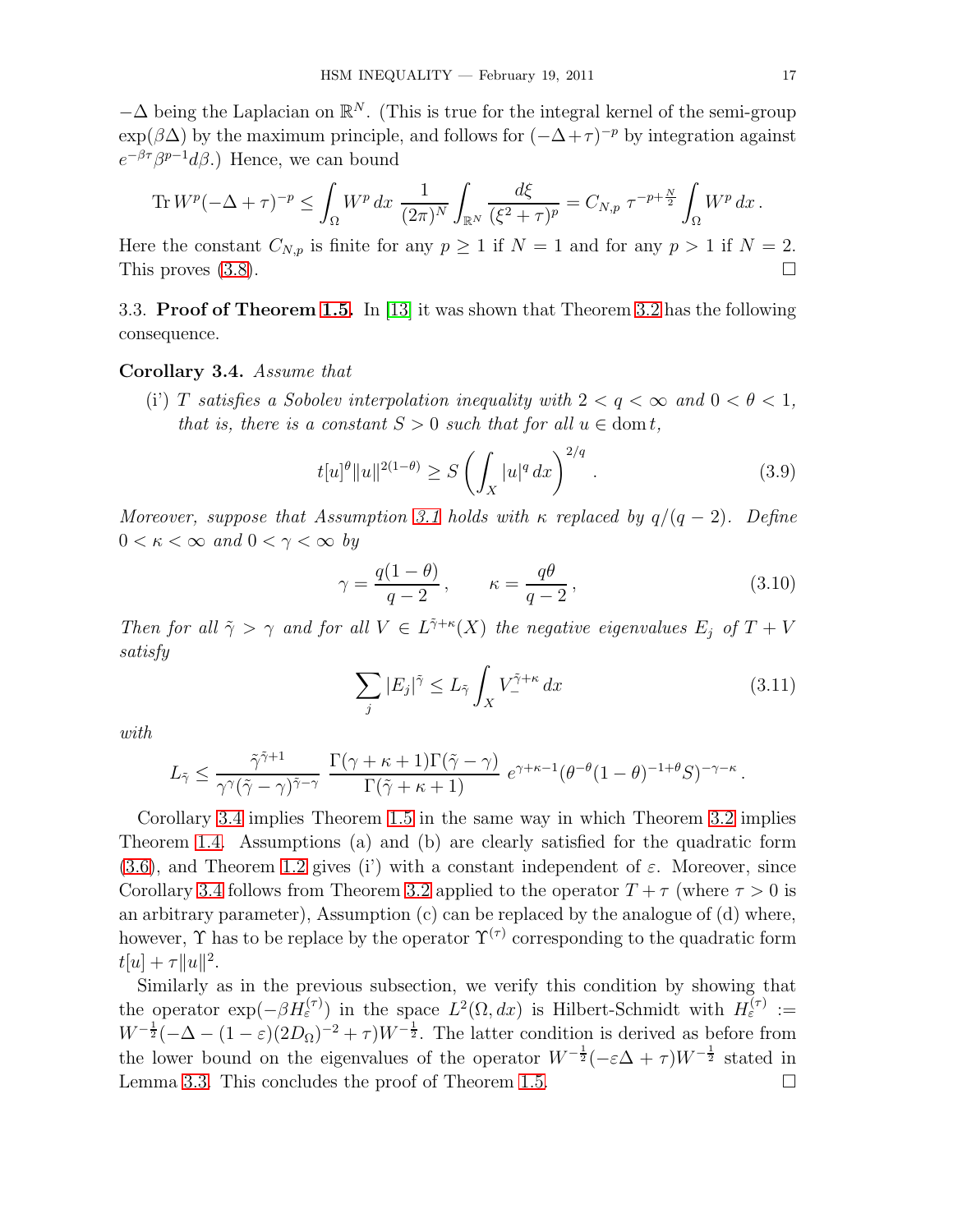$-\Delta$  being the Laplacian on  $\mathbb{R}^N$ . (This is true for the integral kernel of the semi-group  $\exp(\beta \Delta)$  by the maximum principle, and follows for  $(-\Delta + \tau)^{-p}$  by integration against  $e^{-\beta \tau} \beta^{p-1} d\beta$ .) Hence, we can bound

$$
\text{Tr } W^{p}(-\Delta + \tau)^{-p} \leq \int_{\Omega} W^{p} dx \; \frac{1}{(2\pi)^{N}} \int_{\mathbb{R}^{N}} \frac{d\xi}{(\xi^{2} + \tau)^{p}} = C_{N, p} \; \tau^{-p + \frac{N}{2}} \int_{\Omega} W^{p} dx \, .
$$

Here the constant  $C_{N,p}$  is finite for any  $p \ge 1$  if  $N = 1$  and for any  $p > 1$  if  $N = 2$ . This proves  $(3.8)$ .

3.3. Proof of Theorem [1.5.](#page-4-1) In [\[13\]](#page-17-18) it was shown that Theorem [3.2](#page-13-1) has the following consequence.

### <span id="page-16-0"></span>Corollary 3.4. Assume that

(i) T satisfies a Sobolev interpolation inequality with  $2 < q < \infty$  and  $0 < \theta < 1$ , that is, there is a constant  $S > 0$  such that for all  $u \in \text{dom } t$ ,

$$
t[u]^{\theta}||u||^{2(1-\theta)} \ge S\left(\int_X |u|^q \, dx\right)^{2/q}.\tag{3.9}
$$

Moreover, suppose that Assumption [3.1](#page-13-0) holds with  $\kappa$  replaced by  $q/(q-2)$ . Define  $0 < \kappa < \infty$  and  $0 < \gamma < \infty$  by

$$
\gamma = \frac{q(1-\theta)}{q-2}, \qquad \kappa = \frac{q\theta}{q-2}, \tag{3.10}
$$

Then for all  $\tilde{\gamma} > \gamma$  and for all  $V \in L^{\tilde{\gamma}+\kappa}(X)$  the negative eigenvalues  $E_j$  of  $T + V$ satisfy

$$
\sum_{j} |E_j|^{\tilde{\gamma}} \le L_{\tilde{\gamma}} \int_X V_-^{\tilde{\gamma}+\kappa} dx \tag{3.11}
$$

with

$$
L_{\tilde{\gamma}} \leq \frac{\tilde{\gamma}^{\tilde{\gamma}+1}}{\gamma^{\gamma}(\tilde{\gamma}-\gamma)^{\tilde{\gamma}-\gamma}} \frac{\Gamma(\gamma+\kappa+1)\Gamma(\tilde{\gamma}-\gamma)}{\Gamma(\tilde{\gamma}+\kappa+1)} e^{\gamma+\kappa-1} (\theta^{-\theta}(1-\theta)^{-1+\theta}S)^{-\gamma-\kappa}.
$$

Corollary [3.4](#page-16-0) implies Theorem [1.5](#page-4-1) in the same way in which Theorem [3.2](#page-13-1) implies Theorem [1.4.](#page-3-3) Assumptions (a) and (b) are clearly satisfied for the quadratic form [\(3.6\)](#page-14-0), and Theorem [1.2](#page-2-1) gives (i') with a constant independent of  $\varepsilon$ . Moreover, since Corollary [3.4](#page-16-0) follows from Theorem [3.2](#page-13-1) applied to the operator  $T + \tau$  (where  $\tau > 0$  is an arbitrary parameter), Assumption (c) can be replaced by the analogue of (d) where, however,  $\Upsilon$  has to be replace by the operator  $\Upsilon^{(\tau)}$  corresponding to the quadratic form  $t[u] + \tau ||u||^2.$ 

Similarly as in the previous subsection, we verify this condition by showing that the operator  $\exp(-\beta H_{\varepsilon}^{(\tau)})$  in the space  $L^2(\Omega, dx)$  is Hilbert-Schmidt with  $H_{\varepsilon}^{(\tau)} :=$  $W^{-\frac{1}{2}}(-\Delta - (1-\varepsilon)(2D_{\Omega})^{-2} + \tau)W^{-\frac{1}{2}}$ . The latter condition is derived as before from the lower bound on the eigenvalues of the operator  $W^{-\frac{1}{2}}(-\varepsilon\Delta + \tau)W^{-\frac{1}{2}}$  stated in Lemma [3.3.](#page-15-0) This concludes the proof of Theorem [1.5.](#page-4-1)  $\Box$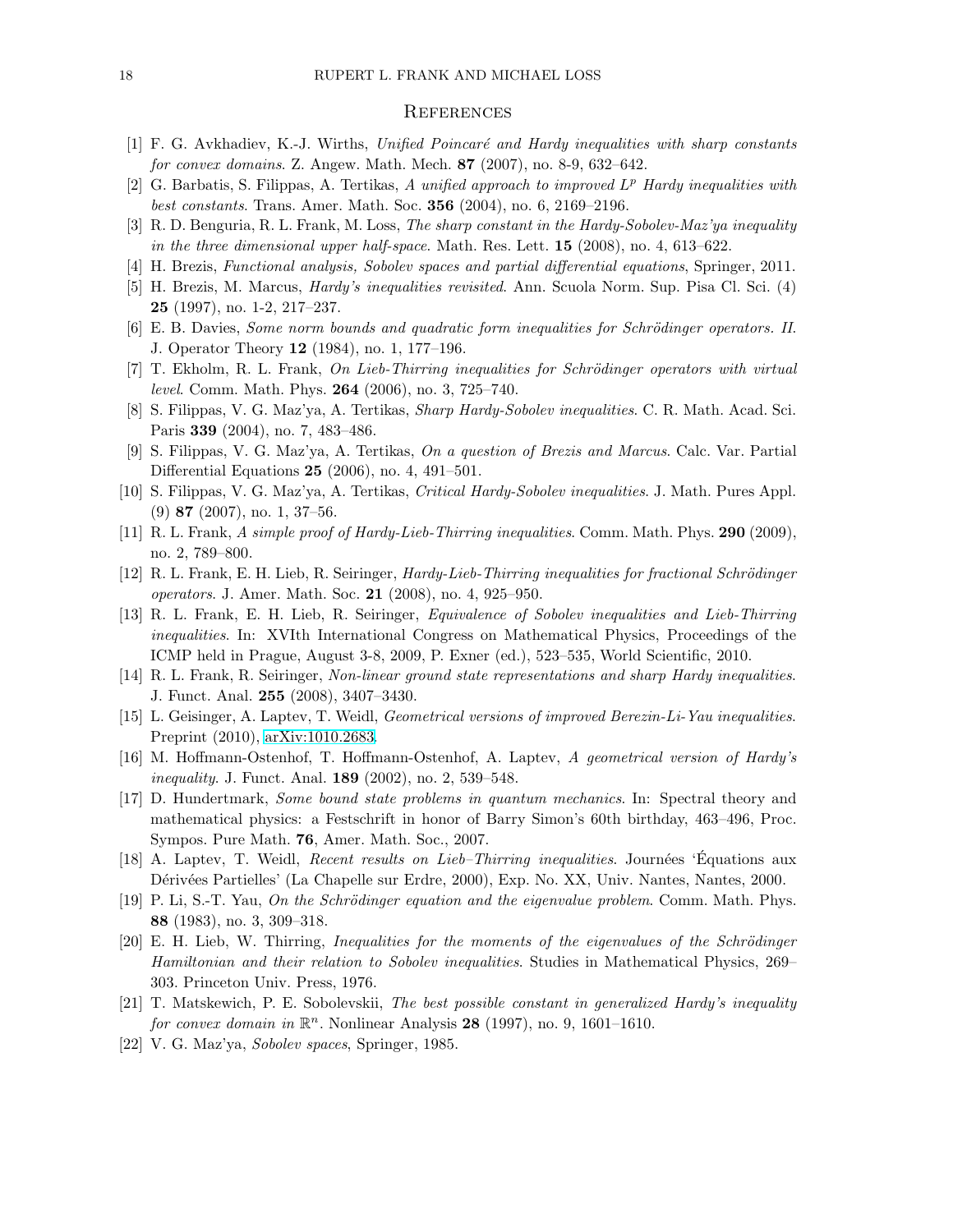#### **REFERENCES**

- <span id="page-17-6"></span><span id="page-17-1"></span>[1] F. G. Avkhadiev, K.-J. Wirths, Unified Poincaré and Hardy inequalities with sharp constants for convex domains. Z. Angew. Math. Mech. 87 (2007), no. 8-9, 632–642.
- <span id="page-17-2"></span>[2] G. Barbatis, S. Filippas, A. Tertikas, A unified approach to improved  $L^p$  Hardy inequalities with best constants. Trans. Amer. Math. Soc. 356 (2004), no. 6, 2169–2196.
- <span id="page-17-19"></span>[3] R. D. Benguria, R. L. Frank, M. Loss, The sharp constant in the Hardy-Sobolev-Maz'ya inequality in the three dimensional upper half-space. Math. Res. Lett.  $15$  (2008), no. 4, 613–622.
- <span id="page-17-3"></span>[4] H. Brezis, Functional analysis, Sobolev spaces and partial differential equations, Springer, 2011.
- <span id="page-17-9"></span>[5] H. Brezis, M. Marcus, Hardy's inequalities revisited. Ann. Scuola Norm. Sup. Pisa Cl. Sci. (4) 25 (1997), no. 1-2, 217–237.
- <span id="page-17-15"></span>[6] E. B. Davies, Some norm bounds and quadratic form inequalities for Schrödinger operators. II. J. Operator Theory 12 (1984), no. 1, 177–196.
- [7] T. Ekholm, R. L. Frank, On Lieb-Thirring inequalities for Schrödinger operators with virtual level. Comm. Math. Phys. 264 (2006), no. 3, 725–740.
- <span id="page-17-7"></span><span id="page-17-5"></span>[8] S. Filippas, V. G. Maz'ya, A. Tertikas, Sharp Hardy-Sobolev inequalities. C. R. Math. Acad. Sci. Paris 339 (2004), no. 7, 483–486.
- <span id="page-17-8"></span>[9] S. Filippas, V. G. Maz'ya, A. Tertikas, On a question of Brezis and Marcus. Calc. Var. Partial Differential Equations 25 (2006), no. 4, 491–501.
- <span id="page-17-17"></span>[10] S. Filippas, V. G. Maz'ya, A. Tertikas, Critical Hardy-Sobolev inequalities. J. Math. Pures Appl. (9) 87 (2007), no. 1, 37–56.
- <span id="page-17-16"></span>[11] R. L. Frank, A simple proof of Hardy-Lieb-Thirring inequalities. Comm. Math. Phys. 290 (2009), no. 2, 789–800.
- <span id="page-17-18"></span>[12] R. L. Frank, E. H. Lieb, R. Seiringer, *Hardy-Lieb-Thirring inequalities for fractional Schrödinger* operators. J. Amer. Math. Soc. 21 (2008), no. 4, 925–950.
- [13] R. L. Frank, E. H. Lieb, R. Seiringer, Equivalence of Sobolev inequalities and Lieb-Thirring inequalities. In: XVIth International Congress on Mathematical Physics, Proceedings of the ICMP held in Prague, August 3-8, 2009, P. Exner (ed.), 523–535, World Scientific, 2010.
- <span id="page-17-20"></span><span id="page-17-14"></span>[14] R. L. Frank, R. Seiringer, Non-linear ground state representations and sharp Hardy inequalities. J. Funct. Anal. 255 (2008), 3407–3430.
- [15] L. Geisinger, A. Laptev, T. Weidl, Geometrical versions of improved Berezin-Li-Yau inequalities. Preprint (2010), [arXiv:1010.2683.](http://arxiv.org/abs/1010.2683)
- <span id="page-17-12"></span><span id="page-17-4"></span>[16] M. Hoffmann-Ostenhof, T. Hoffmann-Ostenhof, A. Laptev, A geometrical version of Hardy's inequality. J. Funct. Anal. **189** (2002), no. 2, 539-548.
- [17] D. Hundertmark, Some bound state problems in quantum mechanics. In: Spectral theory and mathematical physics: a Festschrift in honor of Barry Simon's 60th birthday, 463–496, Proc. Sympos. Pure Math. 76, Amer. Math. Soc., 2007.
- <span id="page-17-11"></span>[18] A. Laptev, T. Weidl, *Recent results on Lieb–Thirring inequalities*. Journées 'Équations aux Dérivées Partielles' (La Chapelle sur Erdre, 2000), Exp. No. XX, Univ. Nantes, Nantes, 2000.
- <span id="page-17-21"></span>[19] P. Li, S.-T. Yau, On the Schrödinger equation and the eigenvalue problem. Comm. Math. Phys. 88 (1983), no. 3, 309–318.
- <span id="page-17-13"></span>[20] E. H. Lieb, W. Thirring, Inequalities for the moments of the eigenvalues of the Schrödinger Hamiltonian and their relation to Sobolev inequalities. Studies in Mathematical Physics, 269– 303. Princeton Univ. Press, 1976.
- <span id="page-17-10"></span>[21] T. Matskewich, P. E. Sobolevskii, The best possible constant in generalized Hardy's inequality for convex domain in  $\mathbb{R}^n$ . Nonlinear Analysis 28 (1997), no. 9, 1601-1610.
- <span id="page-17-0"></span>[22] V. G. Maz'ya, Sobolev spaces, Springer, 1985.